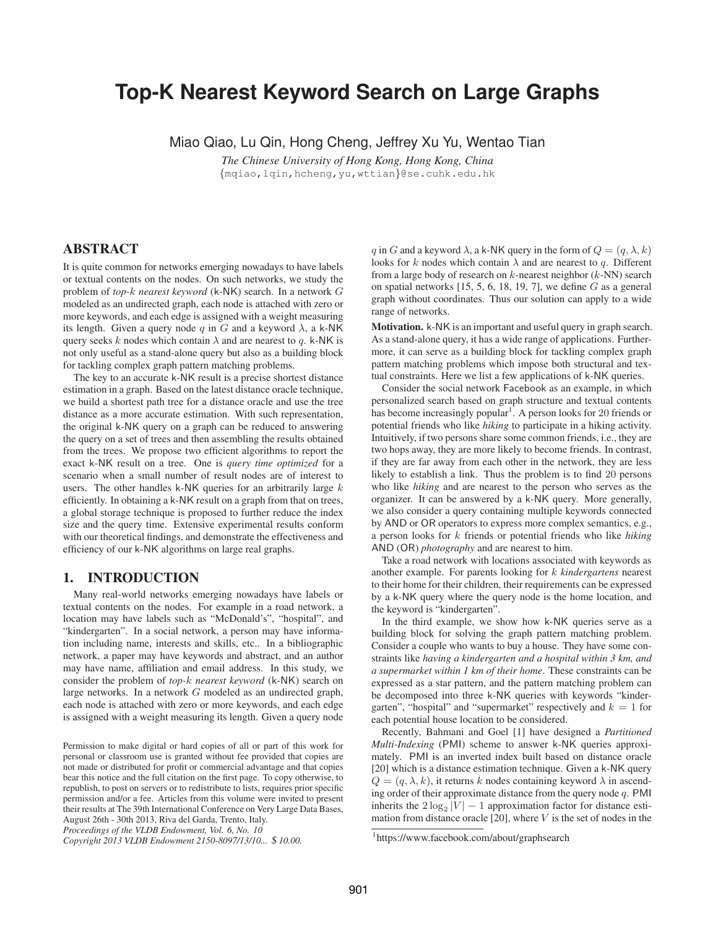# **Top-K Nearest Keyword Search on Large Graphs**

Miao Qiao, Lu Qin, Hong Cheng, Jeffrey Xu Yu, Wentao Tian

*The Chinese University of Hong Kong, Hong Kong, China* {mqiao,lqin,hcheng,yu,wttian}@se.cuhk.edu.hk

# **ABSTRACT**

It is quite common for networks emerging nowadays to have labels or textual contents on the nodes. On such networks, we study the problem of *top-*k *nearest keyword* (k-NK) search. In a network G modeled as an undirected graph, each node is attached with zero or more keywords, and each edge is assigned with a weight measuring its length. Given a query node q in G and a keyword  $\lambda$ , a k-NK query seeks k nodes which contain  $\lambda$  and are nearest to q. k-NK is not only useful as a stand-alone query but also as a building block for tackling complex graph pattern matching problems.

The key to an accurate k-NK result is a precise shortest distance estimation in a graph. Based on the latest distance oracle technique, we build a shortest path tree for a distance oracle and use the tree distance as a more accurate estimation. With such representation, the original k-NK query on a graph can be reduced to answering the query on a set of trees and then assembling the results obtained from the trees. We propose two efficient algorithms to report the exact k-NK result on a tree. One is *query time optimized* for a scenario when a small number of result nodes are of interest to users. The other handles k-NK queries for an arbitrarily large  $k$ efficiently. In obtaining a k-NK result on a graph from that on trees, a global storage technique is proposed to further reduce the index size and the query time. Extensive experimental results conform with our theoretical findings, and demonstrate the effectiveness and efficiency of our k-NK algorithms on large real graphs.

## **1. INTRODUCTION**

Many real-world networks emerging nowadays have labels or textual contents on the nodes. For example in a road network, a location may have labels such as "McDonald's", "hospital", and "kindergarten". In a social network, a person may have information including name, interests and skills, etc.. In a bibliographic network, a paper may have keywords and abstract, and an author may have name, affiliation and email address. In this study, we consider the problem of *top-*k *nearest keyword* (k-NK) search on large networks. In a network G modeled as an undirected graph, each node is attached with zero or more keywords, and each edge is assigned with a weight measuring its length. Given a query node

q in G and a keyword  $\lambda$ , a k-NK query in the form of  $Q = (q, \lambda, k)$ looks for k nodes which contain  $\lambda$  and are nearest to q. Different from a large body of research on  $k$ -nearest neighbor  $(k-NN)$  search on spatial networks  $[15, 5, 6, 18, 19, 7]$ , we define G as a general graph without coordinates. Thus our solution can apply to a wide range of networks.

**Motivation.** k-NK is an important and useful query in graph search. As a stand-alone query, it has a wide range of applications. Furthermore, it can serve as a building block for tackling complex graph pattern matching problems which impose both structural and textual constraints. Here we list a few applications of k-NK queries.

Consider the social network Facebook as an example, in which personalized search based on graph structure and textual contents has become increasingly popular<sup>1</sup>. A person looks for 20 friends or potential friends who like *hiking* to participate in a hiking activity. Intuitively, if two persons share some common friends, i.e., they are two hops away, they are more likely to become friends. In contrast, if they are far away from each other in the network, they are less likely to establish a link. Thus the problem is to find 20 persons who like *hiking* and are nearest to the person who serves as the organizer. It can be answered by a k-NK query. More generally, we also consider a query containing multiple keywords connected by AND or OR operators to express more complex semantics, e.g., a person looks for k friends or potential friends who like *hiking* AND (OR) *photography* and are nearest to him.

Take a road network with locations associated with keywords as another example. For parents looking for k *kindergartens* nearest to their home for their children, their requirements can be expressed by a k-NK query where the query node is the home location, and the keyword is "kindergarten".

In the third example, we show how k-NK queries serve as a building block for solving the graph pattern matching problem. Consider a couple who wants to buy a house. They have some constraints like *having a kindergarten and a hospital within 3 km, and a supermarket within 1 km of their home*. These constraints can be expressed as a star pattern, and the pattern matching problem can be decomposed into three k-NK queries with keywords "kindergarten", "hospital" and "supermarket" respectively and  $k = 1$  for each potential house location to be considered.

Recently, Bahmani and Goel [1] have designed a *Partitioned Multi-Indexing* (PMI) scheme to answer k-NK queries approximately. PMI is an inverted index built based on distance oracle [20] which is a distance estimation technique. Given a k-NK query  $Q = (q, \lambda, k)$ , it returns k nodes containing keyword  $\lambda$  in ascending order of their approximate distance from the query node  $q$ . PMI inherits the  $2\log_2|V| - 1$  approximation factor for distance estimation from distance oracle [20], where  $V$  is the set of nodes in the

Permission to make digital or hard copies of all or part of this work for personal or classroom use is granted without fee provided that copies are not made or distributed for profit or commercial advantage and that copies bear this notice and the full citation on the first page. To copy otherwise, to republish, to post on servers or to redistribute to lists, requires prior specific permission and/or a fee. Articles from this volume were invited to present their results at The 39th International Conference on Very Large Data Bases, August 26th - 30th 2013, Riva del Garda, Trento, Italy.

*Proceedings of the VLDB Endowment, Vol. 6, No. 10*

*Copyright 2013 VLDB Endowment 2150-8097/13/10...* \$ *10.00.*

<sup>1</sup> https://www.facebook.com/about/graphsearch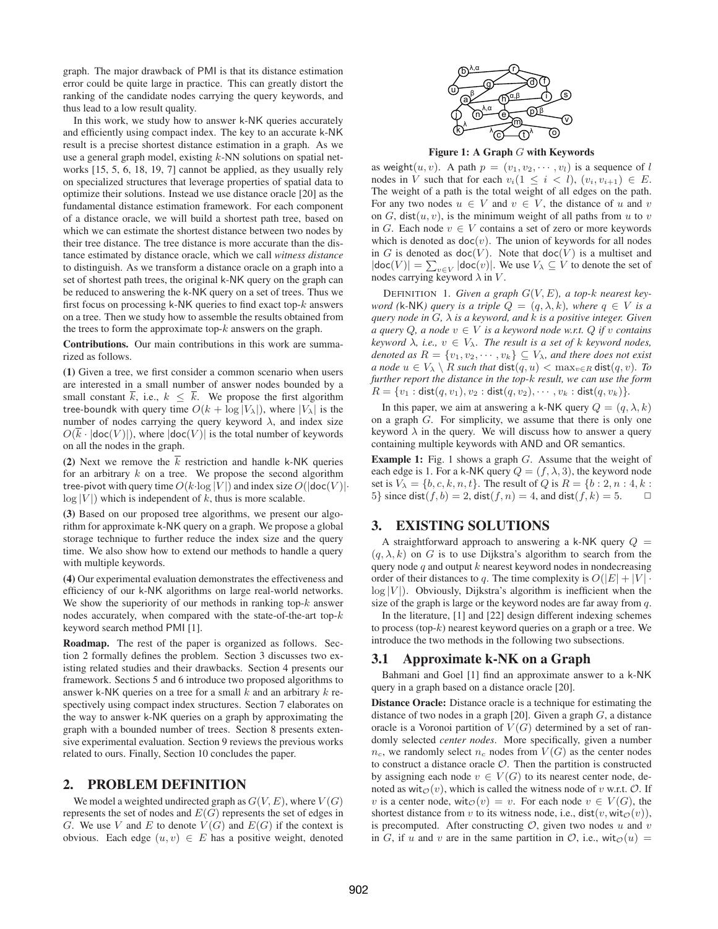graph. The major drawback of PMI is that its distance estimation error could be quite large in practice. This can greatly distort the ranking of the candidate nodes carrying the query keywords, and thus lead to a low result quality.

In this work, we study how to answer k-NK queries accurately and efficiently using compact index. The key to an accurate k-NK result is a precise shortest distance estimation in a graph. As we use a general graph model, existing  $k$ -NN solutions on spatial networks [15, 5, 6, 18, 19, 7] cannot be applied, as they usually rely on specialized structures that leverage properties of spatial data to optimize their solutions. Instead we use distance oracle [20] as the fundamental distance estimation framework. For each component of a distance oracle, we will build a shortest path tree, based on which we can estimate the shortest distance between two nodes by their tree distance. The tree distance is more accurate than the distance estimated by distance oracle, which we call *witness distance* to distinguish. As we transform a distance oracle on a graph into a set of shortest path trees, the original k-NK query on the graph can be reduced to answering the k-NK query on a set of trees. Thus we first focus on processing k-NK queries to find exact top- $k$  answers on a tree. Then we study how to assemble the results obtained from the trees to form the approximate top- $k$  answers on the graph.

**Contributions.** Our main contributions in this work are summarized as follows.

**(1)** Given a tree, we first consider a common scenario when users are interested in a small number of answer nodes bounded by a small constant  $\overline{k}$ , i.e.,  $k \leq \overline{k}$ . We propose the first algorithm tree-boundk with query time  $O(k + \log |V_\lambda|)$ , where  $|V_\lambda|$  is the number of nodes carrying the query keyword  $\lambda$ , and index size  $O(\overline{k} \cdot |\text{doc}(V)|)$ , where  $|\text{doc}(V)|$  is the total number of keywords on all the nodes in the graph.

**(2)** Next we remove the  $\overline{k}$  restriction and handle k-NK queries for an arbitrary  $k$  on a tree. We propose the second algorithm tree-pivot with query time  $O(k \cdot \log |V|)$  and index size  $O(|\text{doc}(V)| \cdot$  $\log |V|$ ) which is independent of k, thus is more scalable.

**(3)** Based on our proposed tree algorithms, we present our algorithm for approximate k-NK query on a graph. We propose a global storage technique to further reduce the index size and the query time. We also show how to extend our methods to handle a query with multiple keywords.

**(4)** Our experimental evaluation demonstrates the effectiveness and efficiency of our k-NK algorithms on large real-world networks. We show the superiority of our methods in ranking top- $k$  answer nodes accurately, when compared with the state-of-the-art top- $k$ keyword search method PMI [1].

**Roadmap.** The rest of the paper is organized as follows. Section 2 formally defines the problem. Section 3 discusses two existing related studies and their drawbacks. Section 4 presents our framework. Sections 5 and 6 introduce two proposed algorithms to answer k-NK queries on a tree for a small k and an arbitrary  $k$  respectively using compact index structures. Section 7 elaborates on the way to answer k-NK queries on a graph by approximating the graph with a bounded number of trees. Section 8 presents extensive experimental evaluation. Section 9 reviews the previous works related to ours. Finally, Section 10 concludes the paper.

# **2. PROBLEM DEFINITION**

We model a weighted undirected graph as  $G(V, E)$ , where  $V(G)$ represents the set of nodes and  $E(G)$  represents the set of edges in G. We use V and E to denote  $V(G)$  and  $E(G)$  if the context is obvious. Each edge  $(u, v) \in E$  has a positive weight, denoted



**Figure 1: A Graph** G **with Keywords**

as weight $(u, v)$ . A path  $p = (v_1, v_2, \dots, v_l)$  is a sequence of l nodes in V such that for each  $v_i(1 \leq i \leq l)$ ,  $(v_i, v_{i+1}) \in E$ . The weight of a path is the total weight of all edges on the path. For any two nodes  $u \in V$  and  $v \in V$ , the distance of u and v on G, dist $(u, v)$ , is the minimum weight of all paths from u to v in G. Each node  $v \in V$  contains a set of zero or more keywords which is denoted as  $doc(v)$ . The union of keywords for all nodes in G is denoted as  $\text{doc}(V)$ . Note that  $\text{doc}(V)$  is a multiset and  $|\textsf{doc}(V)| = \sum_{v \in V} |\textsf{doc}(v)|$ . We use  $V_{\lambda} \subseteq V$  to denote the set of nodes carrying keyword  $\lambda$  in  $V$ .

DEFINITION 1. *Given a graph* G(V, E)*, a top-*k *nearest keyword* (**k**-NK) query is a triple  $Q = (q, \lambda, k)$ , where  $q \in V$  is a *query node in* G*,* λ *is a keyword, and* k *is a positive integer. Given a query*  $Q$ *, a node*  $v \in V$  *is a keyword node w.r.t.*  $Q$  *if*  $v$  *contains keyword*  $\lambda$ *, i.e.,*  $v \in V_{\lambda}$ *. The result is a set of k keyword nodes, denoted as*  $R = \{v_1, v_2, \dots, v_k\} \subseteq V_\lambda$ *, and there does not exist a node*  $u \in V_\lambda \setminus R$  *such that*  $dist(q, u) < max_{v \in R} dist(q, v)$ *. To further report the distance in the top-*k *result, we can use the form*  $R = \{v_1 : \text{dist}(q, v_1), v_2 : \text{dist}(q, v_2), \cdots, v_k : \text{dist}(q, v_k)\}.$ 

In this paper, we aim at answering a k-NK query  $Q = (q, \lambda, k)$ on a graph G. For simplicity, we assume that there is only one keyword  $\lambda$  in the query. We will discuss how to answer a query containing multiple keywords with AND and OR semantics.

**Example 1:** Fig. 1 shows a graph G. Assume that the weight of each edge is 1. For a k-NK query  $Q = (f, \lambda, 3)$ , the keyword node set is  $V_{\lambda} = \{b, c, k, n, t\}$ . The result of Q is  $R = \{b : 2, n : 4, k :$ 5} since dist( $f, b$ ) = 2, dist( $f, n$ ) = 4, and dist( $f, k$ ) = 5.

# **3. EXISTING SOLUTIONS**

A straightforward approach to answering a k-NK query  $Q =$  $(q, \lambda, k)$  on G is to use Dijkstra's algorithm to search from the query node  $q$  and output  $k$  nearest keyword nodes in nondecreasing order of their distances to q. The time complexity is  $O(|E| + |V| \cdot$  $log |V|$ ). Obviously, Dijkstra's algorithm is inefficient when the size of the graph is large or the keyword nodes are far away from q.

In the literature, [1] and [22] design different indexing schemes to process (top-k) nearest keyword queries on a graph or a tree. We introduce the two methods in the following two subsections.

## **3.1 Approximate k-NK on a Graph**

Bahmani and Goel [1] find an approximate answer to a k-NK query in a graph based on a distance oracle [20].

**Distance Oracle:** Distance oracle is a technique for estimating the distance of two nodes in a graph  $[20]$ . Given a graph  $G$ , a distance oracle is a Voronoi partition of  $V(G)$  determined by a set of randomly selected *center nodes*. More specifically, given a number  $n_c$ , we randomly select  $n_c$  nodes from  $V(G)$  as the center nodes to construct a distance oracle  $O$ . Then the partition is constructed by assigning each node  $v \in V(G)$  to its nearest center node, denoted as wit $_{\mathcal{O}}(v)$ , which is called the witness node of v w.r.t.  $\mathcal{O}$ . If v is a center node, wit $\mathcal{O}(v) = v$ . For each node  $v \in V(G)$ , the shortest distance from v to its witness node, i.e.,  $dist(v, wit_{\mathcal{O}}(v)),$ is precomputed. After constructing  $\mathcal{O}$ , given two nodes u and v in G, if u and v are in the same partition in  $\mathcal{O}$ , i.e., wit $\mathcal{O}(u) =$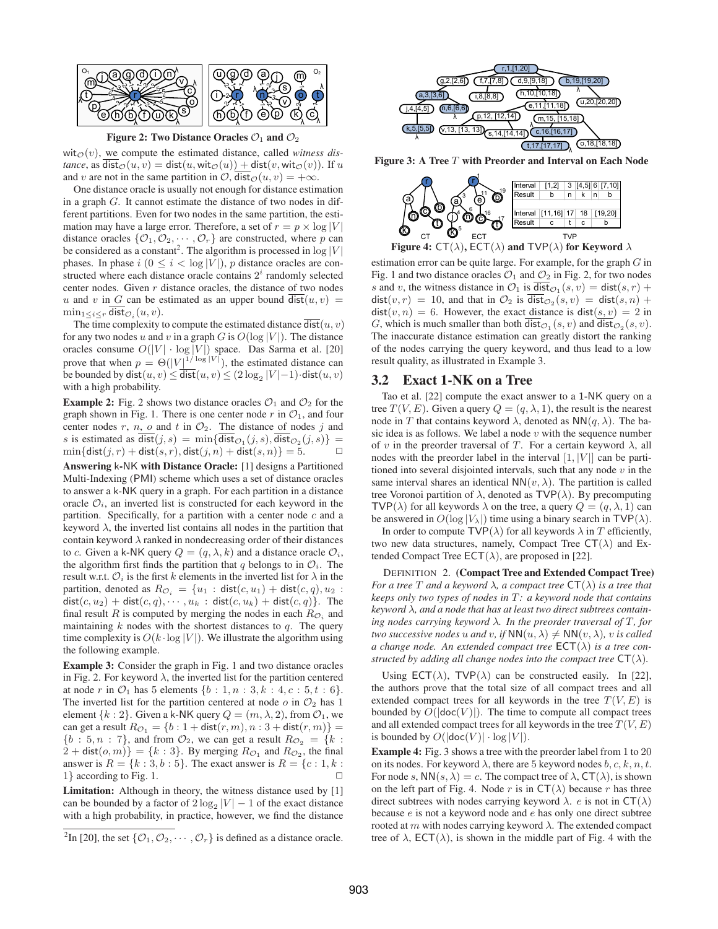

**Figure 2: Two Distance Oracles**  $\mathcal{O}_1$  and  $\mathcal{O}_2$ 

 $wit_{\mathcal{O}}(v)$ , we compute the estimated distance, called *witness distance*, as  $\overline{\text{dist}}_{\mathcal{O}}(u, v) = \text{dist}(u, \text{wit}_{\mathcal{O}}(u)) + \text{dist}(v, \text{wit}_{\mathcal{O}}(v))$ . If u and v are not in the same partition in  $\mathcal{O}, \overline{\text{dist}}_{\mathcal{O}}(u, v) = +\infty$ .

One distance oracle is usually not enough for distance estimation in a graph G. It cannot estimate the distance of two nodes in different partitions. Even for two nodes in the same partition, the estimation may have a large error. Therefore, a set of  $r = p \times \log |V|$ distance oracles  $\{\mathcal{O}_1, \mathcal{O}_2, \cdots, \mathcal{O}_r\}$  are constructed, where  $p$  can be considered as a constant<sup>2</sup>. The algorithm is processed in  $\log |V|$ phases. In phase  $i$   $(0 \le i < \log |V|)$ , p distance oracles are constructed where each distance oracle contains  $2<sup>i</sup>$  randomly selected center nodes. Given  $r$  distance oracles, the distance of two nodes u and v in G can be estimated as an upper bound  $dist(u, v)$  =  $\min_{1 \leq i \leq r} \mathsf{dist}_{\mathcal{O}_i}(u, v).$ 

The time complexity to compute the estimated distance  $dist(u, v)$ for any two nodes u and v in a graph G is  $O(\log |V|)$ . The distance oracles consume  $O(|V| \cdot \log |V|)$  space. Das Sarma et al. [20] prove that when  $p = \Theta(|V|^{1/\log |V|})$ , the estimated distance can be bounded by  $\textsf{dist}(u, v) \leq \textsf{dist}(u, v) \leq (2\log_2 |V| - 1) \cdot \textsf{dist}(u, v)$ with a high probability.

**Example 2:** Fig. 2 shows two distance oracles  $\mathcal{O}_1$  and  $\mathcal{O}_2$  for the graph shown in Fig. 1. There is one center node r in  $\mathcal{O}_1$ , and four center nodes r, n, o and t in  $\mathcal{O}_2$ . The distance of nodes j and s is estimated as  $dist(j, s) = min{dist_{\mathcal{O}_1}(j, s), dist_{\mathcal{O}_2}(j, s)} =$  $\min\{\text{dist}(j, r) + \text{dist}(s, r), \text{dist}(j, n) + \text{dist}(s, n)\} = 5.$   $\Box$ 

**Answering** k**-**NK **with Distance Oracle:** [1] designs a Partitioned Multi-Indexing (PMI) scheme which uses a set of distance oracles to answer a k-NK query in a graph. For each partition in a distance oracle  $\mathcal{O}_i$ , an inverted list is constructed for each keyword in the partition. Specifically, for a partition with a center node  $c$  and a keyword  $\lambda$ , the inverted list contains all nodes in the partition that contain keyword  $\lambda$  ranked in nondecreasing order of their distances to c. Given a k-NK query  $Q = (q, \lambda, k)$  and a distance oracle  $\mathcal{O}_i$ , the algorithm first finds the partition that q belongs to in  $\mathcal{O}_i$ . The result w.r.t.  $\mathcal{O}_i$  is the first k elements in the inverted list for  $\lambda$  in the partition, denoted as  $R_{\mathcal{O}_i} = \{u_1 : \text{dist}(c, u_1) + \text{dist}(c, q), u_2 :$  $dist(c, u_2) + dist(c, q), \cdots, u_k : dist(c, u_k) + dist(c, q)$ . The final result R is computed by merging the nodes in each  $R_{\mathcal{O}_i}$  and maintaining  $k$  nodes with the shortest distances to  $q$ . The query time complexity is  $O(k \cdot \log |V|)$ . We illustrate the algorithm using the following example.

**Example 3:** Consider the graph in Fig. 1 and two distance oracles in Fig. 2. For keyword  $\lambda$ , the inverted list for the partition centered at node r in  $\mathcal{O}_1$  has 5 elements  $\{b : 1, n : 3, k : 4, c : 5, t : 6\}.$ The inverted list for the partition centered at node  $o$  in  $\mathcal{O}_2$  has 1 element  $\{k: 2\}$ . Given a k-NK query  $Q = (m, \lambda, 2)$ , from  $\mathcal{O}_1$ , we can get a result  $R_{\mathcal{O}_1} = \{b : 1 + \text{dist}(r, m), n : 3 + \text{dist}(r, m)\} =$  ${b : 5, n : 7}$ , and from  $\mathcal{O}_2$ , we can get a result  $R_{\mathcal{O}_2} = \{k : 0 \leq k\}$  $2 + \text{dist}(o, m)$ } = { $k : 3$ }. By merging  $R_{\mathcal{O}_1}$  and  $R_{\mathcal{O}_2}$ , the final answer is  $R = \{k : 3, b : 5\}$ . The exact answer is  $R = \{c : 1, k : 1\}$ 1} according to Fig. 1.  $\Box$ 

**Limitation:** Although in theory, the witness distance used by [1] can be bounded by a factor of  $2 \log_2 |V| - 1$  of the exact distance with a high probability, in practice, however, we find the distance



**Figure 3: A Tree** T **with Preorder and Interval on Each Node**



estimation error can be quite large. For example, for the graph  $G$  in Fig. 1 and two distance oracles  $\mathcal{O}_1$  and  $\mathcal{O}_2$  in Fig. 2, for two nodes s and v, the witness distance in  $\mathcal{O}_1$  is  $dist_{\mathcal{O}_1}(s, v) = dist(s, r) +$  $dist(v, r) = 10$ , and that in  $\mathcal{O}_2$  is  $dist_{\mathcal{O}_2}(s, v) = dist(s, n) +$  $dist(v, n) = 6$ . However, the exact distance is  $dist(s, v) = 2$  in G, which is much smaller than both dist $\mathcal{O}_1(s, v)$  and dist $\mathcal{O}_2(s, v)$ . The inaccurate distance estimation can greatly distort the ranking of the nodes carrying the query keyword, and thus lead to a low result quality, as illustrated in Example 3.

#### **3.2 Exact 1-NK on a Tree**

Tao et al. [22] compute the exact answer to a 1-NK query on a tree  $T(V, E)$ . Given a query  $Q = (q, \lambda, 1)$ , the result is the nearest node in T that contains keyword  $\lambda$ , denoted as  $NN(q, \lambda)$ . The basic idea is as follows. We label a node  $v$  with the sequence number of v in the preorder traversal of T. For a certain keyword  $\lambda$ , all nodes with the preorder label in the interval  $[1, |V|]$  can be partitioned into several disjointed intervals, such that any node  $v$  in the same interval shares an identical  $NN(v, \lambda)$ . The partition is called tree Voronoi partition of  $\lambda$ , denoted as  $\mathsf{TVP}(\lambda)$ . By precomputing TVP( $\lambda$ ) for all keywords  $\lambda$  on the tree, a query  $Q = (q, \lambda, 1)$  can be answered in  $O(\log |V_\lambda|)$  time using a binary search in TVP( $\lambda$ ).

In order to compute  $\mathsf{TVP}(\lambda)$  for all keywords  $\lambda$  in T efficiently, two new data structures, namely, Compact Tree  $CT(\lambda)$  and Extended Compact Tree  $\mathsf{ECT}(\lambda)$ , are proposed in [22].

DEFINITION 2. **(Compact Tree and Extended Compact Tree)** *For a tree*  $T$  *and a keyword*  $\lambda$ *, a compact tree*  $CT(\lambda)$  *is a tree that keeps only two types of nodes in* T*: a keyword node that contains keyword* λ*, and a node that has at least two direct subtrees containing nodes carrying keyword* λ*. In the preorder traversal of* T*, for two successive nodes* u *and* v, if  $NN(u, \lambda) \neq NN(v, \lambda)$ , v *is called a change node. An extended compact tree*  $\mathsf{ECT}(\lambda)$  *is a tree constructed by adding all change nodes into the compact tree*  $CT(\lambda)$ *.* 

Using ECT( $\lambda$ ), TVP( $\lambda$ ) can be constructed easily. In [22], the authors prove that the total size of all compact trees and all extended compact trees for all keywords in the tree  $T(V, E)$  is bounded by  $O(|\text{doc}(V)|)$ . The time to compute all compact trees and all extended compact trees for all keywords in the tree  $T(V, E)$ is bounded by  $O(|\textsf{doc}(V)| \cdot \log |V|)$ .

**Example 4:** Fig. 3 shows a tree with the preorder label from 1 to 20 on its nodes. For keyword  $\lambda$ , there are 5 keyword nodes  $b, c, k, n, t$ . For node s,  $NN(s, \lambda) = c$ . The compact tree of  $\lambda$ ,  $CT(\lambda)$ , is shown on the left part of Fig. 4. Node r is in  $CT(\lambda)$  because r has three direct subtrees with nodes carrying keyword  $\lambda$ . *e* is not in  $CT(\lambda)$ because e is not a keyword node and e has only one direct subtree rooted at m with nodes carrying keyword  $\lambda$ . The extended compact tree of  $\lambda$ , ECT( $\lambda$ ), is shown in the middle part of Fig. 4 with the

<sup>&</sup>lt;sup>2</sup>In [20], the set  $\{\mathcal{O}_1, \mathcal{O}_2, \cdots, \mathcal{O}_r\}$  is defined as a distance oracle.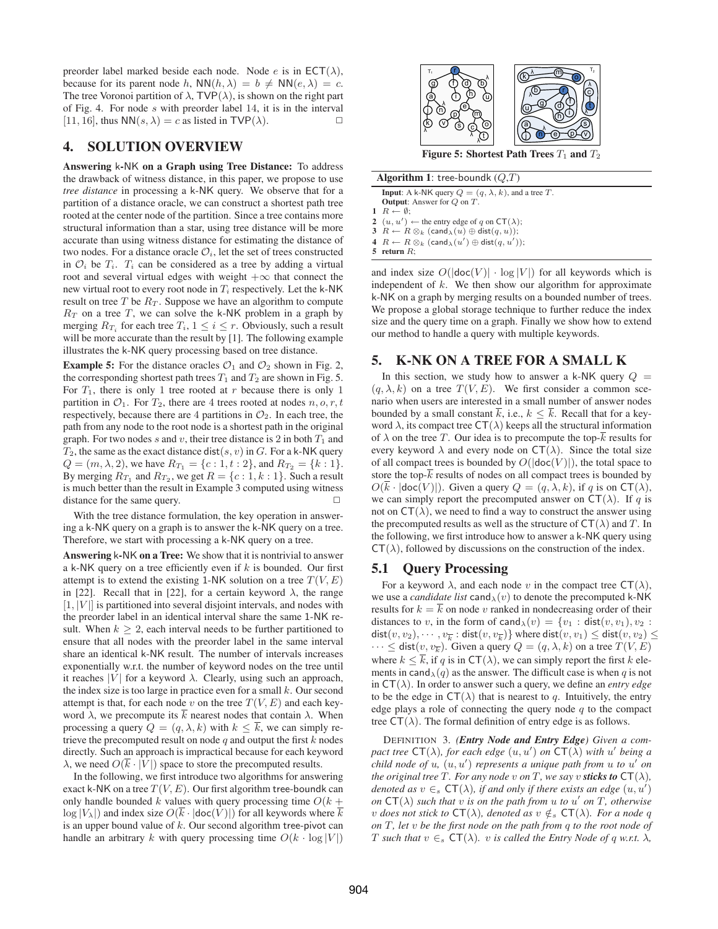preorder label marked beside each node. Node e is in  $\mathsf{ECT}(\lambda)$ , because for its parent node h,  $NN(h, \lambda) = b \neq NN(e, \lambda) = c$ . The tree Voronoi partition of  $\lambda$ , TVP( $\lambda$ ), is shown on the right part of Fig. 4. For node s with preorder label 14, it is in the interval [11, 16], thus  $NN(s, \lambda) = c$  as listed in  $TVP(\lambda)$ .

# **4. SOLUTION OVERVIEW**

**Answering** k**-**NK **on a Graph using Tree Distance:** To address the drawback of witness distance, in this paper, we propose to use *tree distance* in processing a k-NK query. We observe that for a partition of a distance oracle, we can construct a shortest path tree rooted at the center node of the partition. Since a tree contains more structural information than a star, using tree distance will be more accurate than using witness distance for estimating the distance of two nodes. For a distance oracle  $\mathcal{O}_i$ , let the set of trees constructed in  $\mathcal{O}_i$  be  $T_i$ .  $T_i$  can be considered as a tree by adding a virtual root and several virtual edges with weight  $+\infty$  that connect the new virtual root to every root node in  $T_i$  respectively. Let the k-NK result on tree  $T$  be  $R_T$ . Suppose we have an algorithm to compute  $R_T$  on a tree T, we can solve the k-NK problem in a graph by merging  $R_{T_i}$  for each tree  $T_i$ ,  $1 \leq i \leq r$ . Obviously, such a result will be more accurate than the result by [1]. The following example illustrates the k-NK query processing based on tree distance.

**Example 5:** For the distance oracles  $\mathcal{O}_1$  and  $\mathcal{O}_2$  shown in Fig. 2, the corresponding shortest path trees  $T_1$  and  $T_2$  are shown in Fig. 5. For  $T_1$ , there is only 1 tree rooted at r because there is only 1 partition in  $\mathcal{O}_1$ . For  $T_2$ , there are 4 trees rooted at nodes  $n, o, r, t$ respectively, because there are 4 partitions in  $\mathcal{O}_2$ . In each tree, the path from any node to the root node is a shortest path in the original graph. For two nodes s and v, their tree distance is 2 in both  $T_1$  and  $T_2$ , the same as the exact distance dist(s, v) in G. For a k-NK query  $Q = (m, \lambda, 2)$ , we have  $R_{T_1} = \{c : 1, t : 2\}$ , and  $R_{T_2} = \{k : 1\}$ . By merging  $R_{T_1}$  and  $R_{T_2}$ , we get  $R = \{c: 1, k: 1\}$ . Such a result is much better than the result in Example 3 computed using witness distance for the same query.  $\Box$ 

With the tree distance formulation, the key operation in answering a k-NK query on a graph is to answer the k-NK query on a tree. Therefore, we start with processing a k-NK query on a tree.

**Answering** k**-**NK **on a Tree:** We show that it is nontrivial to answer a k-NK query on a tree efficiently even if  $k$  is bounded. Our first attempt is to extend the existing 1-NK solution on a tree  $T(V, E)$ in [22]. Recall that in [22], for a certain keyword  $\lambda$ , the range  $[1, |V|]$  is partitioned into several disjoint intervals, and nodes with the preorder label in an identical interval share the same 1-NK result. When  $k \geq 2$ , each interval needs to be further partitioned to ensure that all nodes with the preorder label in the same interval share an identical k-NK result. The number of intervals increases exponentially w.r.t. the number of keyword nodes on the tree until it reaches |V| for a keyword  $\lambda$ . Clearly, using such an approach, the index size is too large in practice even for a small  $k$ . Our second attempt is that, for each node v on the tree  $T(V, E)$  and each keyword  $\lambda$ , we precompute its  $\overline{k}$  nearest nodes that contain  $\lambda$ . When processing a query  $Q = (q, \lambda, k)$  with  $k \leq \overline{k}$ , we can simply retrieve the precomputed result on node  $q$  and output the first  $k$  nodes directly. Such an approach is impractical because for each keyword  $\lambda$ , we need  $O(k \cdot |V|)$  space to store the precomputed results.

In the following, we first introduce two algorithms for answering exact k-NK on a tree  $T(V, E)$ . Our first algorithm tree-boundk can only handle bounded k values with query processing time  $O(k +$  $\log |V_{\lambda}|$  and index size  $O(k \cdot |\text{doc}(V)|)$  for all keywords where k is an upper bound value of  $k$ . Our second algorithm tree-pivot can handle an arbitrary k with query processing time  $O(k \cdot \log |V|)$ 



**Algorithm 1**: tree-boundk (Q,T)

| <b>Input:</b> A k-NK query $Q = (q, \lambda, k)$ , and a tree T.      |
|-----------------------------------------------------------------------|
| <b>Output:</b> Answer for $Q$ on $T$ .                                |
| $1 R \leftarrow \emptyset$ :                                          |
| 2 $(u, u') \leftarrow$ the entry edge of q on $CT(\lambda)$ ;         |
| 3 $R \leftarrow R \otimes_k (cand_\lambda(u) \oplus dist(q, u));$     |
| 4 $R \leftarrow R \otimes_k (cand_{\lambda}(u') \oplus dist(q, u'));$ |
| 5 return $R$ :                                                        |
| and index size $O( \text{doc}(V)  \cdot \log  V )$ for all keywords   |

which is independent of  $k$ . We then show our algorithm for approximate k-NK on a graph by merging results on a bounded number of trees. We propose a global storage technique to further reduce the index size and the query time on a graph. Finally we show how to extend our method to handle a query with multiple keywords.

# **5. K-NK ON A TREE FOR A SMALL K**

In this section, we study how to answer a k-NK query  $Q =$  $(q, \lambda, k)$  on a tree  $T(V, E)$ . We first consider a common scenario when users are interested in a small number of answer nodes bounded by a small constant  $\overline{k}$ , i.e.,  $k \leq \overline{k}$ . Recall that for a keyword  $\lambda$ , its compact tree  $CT(\lambda)$  keeps all the structural information of  $\lambda$  on the tree T. Our idea is to precompute the top- $\overline{k}$  results for every keyword  $\lambda$  and every node on  $CT(\lambda)$ . Since the total size of all compact trees is bounded by  $O(|\text{doc}(V)|)$ , the total space to store the top-k results of nodes on all compact trees is bounded by  $O(k \cdot |\text{doc}(V)|)$ . Given a query  $Q = (q, \lambda, k)$ , if q is on  $CT(\lambda)$ , we can simply report the precomputed answer on  $CT(\lambda)$ . If q is not on  $CT(\lambda)$ , we need to find a way to construct the answer using the precomputed results as well as the structure of  $CT(\lambda)$  and T. In the following, we first introduce how to answer a k-NK query using  $CT(\lambda)$ , followed by discussions on the construction of the index.

# **5.1 Query Processing**

For a keyword  $\lambda$ , and each node v in the compact tree  $CT(\lambda)$ , we use a *candidate list* cand<sub> $\lambda$ </sub>(*v*) to denote the precomputed k-NK results for  $k = k$  on node v ranked in nondecreasing order of their distances to v, in the form of cand $\lambda(v) = \{v_1 : dist(v, v_1), v_2 :$  $\mathsf{dist}(v, v_2), \cdots, v_{\overline{k}}: \mathsf{dist}(v, v_{\overline{k}})\}$  where  $\mathsf{dist}(v, v_1) \leq \mathsf{dist}(v, v_2) \leq$  $\cdots \leq$  dist $(v, v_{\overline{k}})$ . Given a query  $Q = (q, \lambda, k)$  on a tree  $T(V, E)$ where  $k \leq \overline{k}$ , if q is in  $CT(\lambda)$ , we can simply report the first k elements in cand $_{\lambda}(q)$  as the answer. The difficult case is when q is not in  $CT(\lambda)$ . In order to answer such a query, we define an *entry edge* to be the edge in  $CT(\lambda)$  that is nearest to q. Intuitively, the entry edge plays a role of connecting the query node  $q$  to the compact tree  $CT(\lambda)$ . The formal definition of entry edge is as follows.

DEFINITION 3. *(Entry Node and Entry Edge) Given a compact tree*  $\mathsf{CT}(\lambda)$ *, for each edge*  $(u, u')$  *on*  $\mathsf{CT}(\lambda)$  *with* u' *being a child node of* u*,* (u, u′ ) *represents a unique path from* u *to* u ′ *on the original tree*  $T$ *. For any node*  $v$  *on*  $T$ *, we say*  $v$  *sticks to* $CT(\lambda)$ *, denoted as*  $v \in_s \mathsf{CT}(\lambda)$ *, if and only if there exists an edge*  $(u, u')$ *on*  $CT(\lambda)$  *such that* v *is on the path from* u *to* u' on T, otherwise *v* does not stick to  $CT(\lambda)$ , denoted as  $v \notin_{s} CT(\lambda)$ . For a node q *on* T*, let* v *be the first node on the path from* q *to the root node of* T such that  $v \in_{s} \mathsf{CT}(\lambda)$ *.* v is called the Entry Node of q w.r.t.  $\lambda$ *,*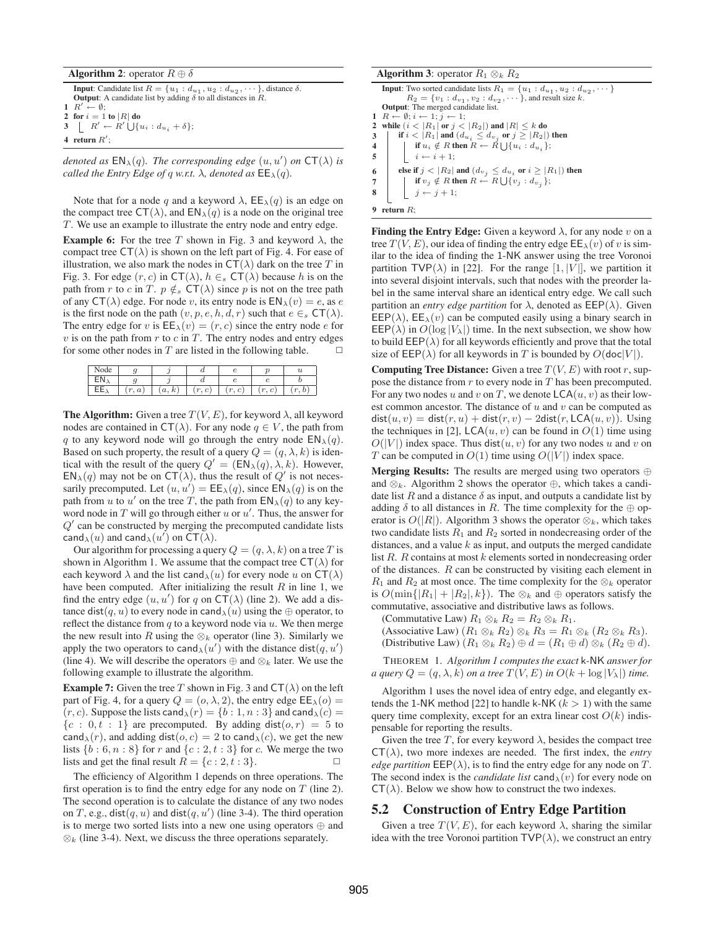**Algorithm 2**: operator  $R \oplus \delta$ 

| <b>Input:</b> Candidate list $R = \{u_1 : d_{u_1}, u_2 : d_{u_2}, \cdots \}$ , distance $\delta$ . |
|----------------------------------------------------------------------------------------------------|
| <b>Output:</b> A candidate list by adding $\delta$ to all distances in R.                          |
| $1 \ R' \leftarrow \emptyset$ :                                                                    |
| 2 for $i = 1$ to $ R $ do                                                                          |
| 3   $R' \leftarrow R' \bigcup \{u_i : d_{u_i} + \delta\};$                                         |
| 4 return $R'$ :                                                                                    |
|                                                                                                    |

*denoted as*  $EN_{\lambda}(q)$ *. The corresponding edge*  $(u, u')$  *on*  $CT(\lambda)$  *is called the Entry Edge of q w.r.t.*  $\lambda$ *, denoted as*  $EE_{\lambda}(q)$ *.* 

Note that for a node q and a keyword  $\lambda$ ,  $EE_{\lambda}(q)$  is an edge on the compact tree  $CT(\lambda)$ , and  $EN_{\lambda}(q)$  is a node on the original tree T. We use an example to illustrate the entry node and entry edge.

**Example 6:** For the tree T shown in Fig. 3 and keyword  $\lambda$ , the compact tree  $CT(\lambda)$  is shown on the left part of Fig. 4. For ease of illustration, we also mark the nodes in  $CT(\lambda)$  dark on the tree T in Fig. 3. For edge  $(r, c)$  in  $CT(\lambda)$ ,  $h \in_s CT(\lambda)$  because h is on the path from r to c in T.  $p \notin_{s} \mathsf{CT}(\lambda)$  since p is not on the tree path of any  $CT(\lambda)$  edge. For node v, its entry node is  $EN_{\lambda}(v) = e$ , as e is the first node on the path  $(v, p, e, h, d, r)$  such that  $e \in_{s} \mathsf{CT}(\lambda)$ . The entry edge for v is  $EE_{\lambda}(v) = (r, c)$  since the entry node e for  $v$  is on the path from  $r$  to  $c$  in  $T$ . The entry nodes and entry edges for some other nodes in  $T$  are listed in the following table.

| vode |                       |                                     | u                  |                           |        | $\boldsymbol{u}$ |
|------|-----------------------|-------------------------------------|--------------------|---------------------------|--------|------------------|
|      |                       |                                     | u                  |                           |        |                  |
|      | $\boldsymbol{\omega}$ | a,<br>ь.<br>$\overline{\mathbf{u}}$ | control.<br>∽<br>U | CH <sub>3</sub><br>۰<br>◡ | n<br>◡ | U                |

**The Algorithm:** Given a tree  $T(V, E)$ , for keyword  $\lambda$ , all keyword nodes are contained in  $CT(\lambda)$ . For any node  $q \in V$ , the path from q to any keyword node will go through the entry node  $EN_{\lambda}(q)$ . Based on such property, the result of a query  $Q = (q, \lambda, k)$  is identical with the result of the query  $Q' = (EN_{\lambda}(q), \lambda, k)$ . However,  $EN_{\lambda}(q)$  may not be on  $CT(\lambda)$ , thus the result of  $Q'$  is not necessarily precomputed. Let  $(u, u') = \mathsf{EE}_{\lambda}(q)$ , since  $\mathsf{EN}_{\lambda}(q)$  is on the path from u to u' on the tree T, the path from  $EN_{\lambda}(q)$  to any keyword node in  $T$  will go through either  $u$  or  $u'$ . Thus, the answer for  $Q'$  can be constructed by merging the precomputed candidate lists  $\mathsf{cand}_\lambda(u)$  and  $\mathsf{cand}_\lambda(u')$  on  $\mathsf{CT}(\lambda).$ 

Our algorithm for processing a query  $Q = (q, \lambda, k)$  on a tree T is shown in Algorithm 1. We assume that the compact tree  $CT(\lambda)$  for each keyword  $\lambda$  and the list cand $\lambda(u)$  for every node u on  $CT(\lambda)$ have been computed. After initializing the result  $R$  in line 1, we find the entry edge  $(u, u')$  for q on  $CT(\lambda)$  (line 2). We add a distance dist(q, u) to every node in cand $\lambda(u)$  using the  $\oplus$  operator, to reflect the distance from  $q$  to a keyword node via  $u$ . We then merge the new result into R using the  $\otimes_k$  operator (line 3). Similarly we apply the two operators to cand $\lambda(u')$  with the distance dist $(q, u')$ (line 4). We will describe the operators  $\oplus$  and  $\otimes_k$  later. We use the following example to illustrate the algorithm.

**Example 7:** Given the tree T shown in Fig. 3 and  $CT(\lambda)$  on the left part of Fig. 4, for a query  $Q = (o, \lambda, 2)$ , the entry edge  $EE_{\lambda}(o) =$  $(r, c)$ . Suppose the lists cand $\lambda(r) = \{b : 1, n : 3\}$  and cand $\lambda(c) =$  ${c : 0, t : 1}$  are precomputed. By adding dist $(o, r) = 5$  to cand<sub> $\lambda$ </sub> $(r)$ , and adding dist $(o, c) = 2$  to cand $\lambda$  $(c)$ , we get the new lists  $\{b : 6, n : 8\}$  for r and  $\{c : 2, t : 3\}$  for c. We merge the two lists and get the final result  $R = \{c : 2, t : 3\}.$ 

The efficiency of Algorithm 1 depends on three operations. The first operation is to find the entry edge for any node on  $T$  (line 2). The second operation is to calculate the distance of any two nodes on T, e.g., dist $(q, u)$  and dist $(q, u')$  (line 3-4). The third operation is to merge two sorted lists into a new one using operators ⊕ and  $\otimes_k$  (line 3-4). Next, we discuss the three operations separately.

| <b>Algorithm 3:</b> operator $R_1 \otimes_k R_2$                                                                                                                                                                                                                                                                                                                                                                             |  |  |  |  |  |
|------------------------------------------------------------------------------------------------------------------------------------------------------------------------------------------------------------------------------------------------------------------------------------------------------------------------------------------------------------------------------------------------------------------------------|--|--|--|--|--|
| <b>Input</b> : Two sorted candidate lists $R_1 = \{u_1 : d_{u_1}, u_2 : d_{u_2}, \cdots\}$                                                                                                                                                                                                                                                                                                                                   |  |  |  |  |  |
| $R_2 = \{v_1 : d_{v_1}, v_2 : d_{v_2}, \cdots \}$ , and result size k.                                                                                                                                                                                                                                                                                                                                                       |  |  |  |  |  |
| <b>Output:</b> The merged candidate list.                                                                                                                                                                                                                                                                                                                                                                                    |  |  |  |  |  |
| $1 R \leftarrow \emptyset; i \leftarrow 1; j \leftarrow 1;$                                                                                                                                                                                                                                                                                                                                                                  |  |  |  |  |  |
| 2 while $(i <  R_1  \text{ or } j <  R_2 )$ and $ R  \leq k$ do                                                                                                                                                                                                                                                                                                                                                              |  |  |  |  |  |
| if $i <  R_1 $ and $(d_{u_i} \leq d_{v_i}$ or $j \geq  R_2 )$ then<br>3                                                                                                                                                                                                                                                                                                                                                      |  |  |  |  |  |
|                                                                                                                                                                                                                                                                                                                                                                                                                              |  |  |  |  |  |
| $\begin{array}{c c} \mathbf{3} & \mathbf{1} & \mathbf{1} & \mathbf{1} & \mathbf{1} & \mathbf{1} & \mathbf{1} & \mathbf{1} & \mathbf{1} & \mathbf{1} & \mathbf{1} & \mathbf{1} & \mathbf{1} & \mathbf{1} & \mathbf{1} & \mathbf{1} & \mathbf{1} & \mathbf{1} & \mathbf{1} & \mathbf{1} & \mathbf{1} & \mathbf{1} & \mathbf{1} & \mathbf{1} & \mathbf{1} & \mathbf{1} & \mathbf{1} & \mathbf{1} & \mathbf{1} & \mathbf{1} & \$ |  |  |  |  |  |
| <b>else if</b> $j <  R_2 $ and $(d_{v_j} \leq d_{u_i} \text{ or } i \geq  R_1 )$ then<br>6                                                                                                                                                                                                                                                                                                                                   |  |  |  |  |  |
|                                                                                                                                                                                                                                                                                                                                                                                                                              |  |  |  |  |  |
| 7<br>8<br>If $v_j \notin R$ then $R \stackrel{j}{\leftarrow} R \bigcup \{v_j : d_{v_j}\};$<br>8<br>If $j \leftarrow j+1;$                                                                                                                                                                                                                                                                                                    |  |  |  |  |  |
| return $R$ :<br>9                                                                                                                                                                                                                                                                                                                                                                                                            |  |  |  |  |  |

**Finding the Entry Edge:** Given a keyword  $\lambda$ , for any node v on a tree  $T(V, E)$ , our idea of finding the entry edge  $\mathsf{EE}_{\lambda}(v)$  of v is similar to the idea of finding the 1-NK answer using the tree Voronoi partition TVP( $\lambda$ ) in [22]. For the range [1, |V||, we partition it into several disjoint intervals, such that nodes with the preorder label in the same interval share an identical entry edge. We call such partition an *entry edge partition* for  $\lambda$ , denoted as  $\mathsf{EEP}(\lambda)$ . Given  $EEP(\lambda)$ ,  $E E_{\lambda}(v)$  can be computed easily using a binary search in  $\mathsf{EEP}(\lambda)$  in  $O(\log |V_\lambda|)$  time. In the next subsection, we show how to build  $\mathsf{EEP}(\lambda)$  for all keywords efficiently and prove that the total size of  $\mathsf{EEP}(\lambda)$  for all keywords in T is bounded by  $O(\mathsf{doc}|V|)$ .

**Computing Tree Distance:** Given a tree  $T(V, E)$  with root r, suppose the distance from  $r$  to every node in  $T$  has been precomputed. For any two nodes u and v on T, we denote  $\mathsf{LCA}(u, v)$  as their lowest common ancestor. The distance of  $u$  and  $v$  can be computed as  $dist(u, v) = dist(r, u) + dist(r, v) - 2dist(r, LCA(u, v))$ . Using the techniques in [2],  $\mathsf{LCA}(u, v)$  can be found in  $O(1)$  time using  $O(|V|)$  index space. Thus dist $(u, v)$  for any two nodes u and v on T can be computed in  $O(1)$  time using  $O(|V|)$  index space.

**Merging Results:** The results are merged using two operators ⊕ and  $\otimes_k$ . Algorithm 2 shows the operator  $\oplus$ , which takes a candidate list R and a distance  $\delta$  as input, and outputs a candidate list by adding  $\delta$  to all distances in R. The time complexity for the  $\oplus$  operator is  $O(|R|)$ . Algorithm 3 shows the operator  $\otimes_k$ , which takes two candidate lists  $R_1$  and  $R_2$  sorted in nondecreasing order of the distances, and a value  $k$  as input, and outputs the merged candidate list R. R contains at most k elements sorted in nondecreasing order of the distances. R can be constructed by visiting each element in  $R_1$  and  $R_2$  at most once. The time complexity for the  $\otimes_k$  operator is  $O(\min\{|R_1| + |R_2|, k\})$ . The  $\otimes_k$  and  $\oplus$  operators satisfy the commutative, associative and distributive laws as follows.

(Commutative Law)  $R_1 \otimes_k R_2 = R_2 \otimes_k R_1$ . (Associative Law)  $(R_1 \otimes_k R_2) \otimes_k R_3 = R_1 \otimes_k (R_2 \otimes_k R_3)$ .

(Distributive Law)  $(R_1 \otimes_k R_2) \oplus d = (R_1 \oplus d) \otimes_k (R_2 \oplus d)$ .

THEOREM 1. *Algorithm 1 computes the exact* k*-*NK *answer for a query*  $Q = (q, \lambda, k)$  *on a tree*  $T(V, E)$  *in*  $O(k + \log |V_{\lambda}|)$  *time.* 

Algorithm 1 uses the novel idea of entry edge, and elegantly extends the 1-NK method [22] to handle k-NK  $(k > 1)$  with the same query time complexity, except for an extra linear cost  $O(k)$  indispensable for reporting the results.

Given the tree T, for every keyword  $\lambda$ , besides the compact tree  $CT(\lambda)$ , two more indexes are needed. The first index, the *entry edge partition*  $\mathsf{EEP}(\lambda)$ , is to find the entry edge for any node on T. The second index is the *candidate list* cand<sub> $\lambda$ </sub>(*v*) for every node on  $CT(\lambda)$ . Below we show how to construct the two indexes.

## **5.2 Construction of Entry Edge Partition**

Given a tree  $T(V, E)$ , for each keyword  $\lambda$ , sharing the similar idea with the tree Voronoi partition  $\text{TVP}(\lambda)$ , we construct an entry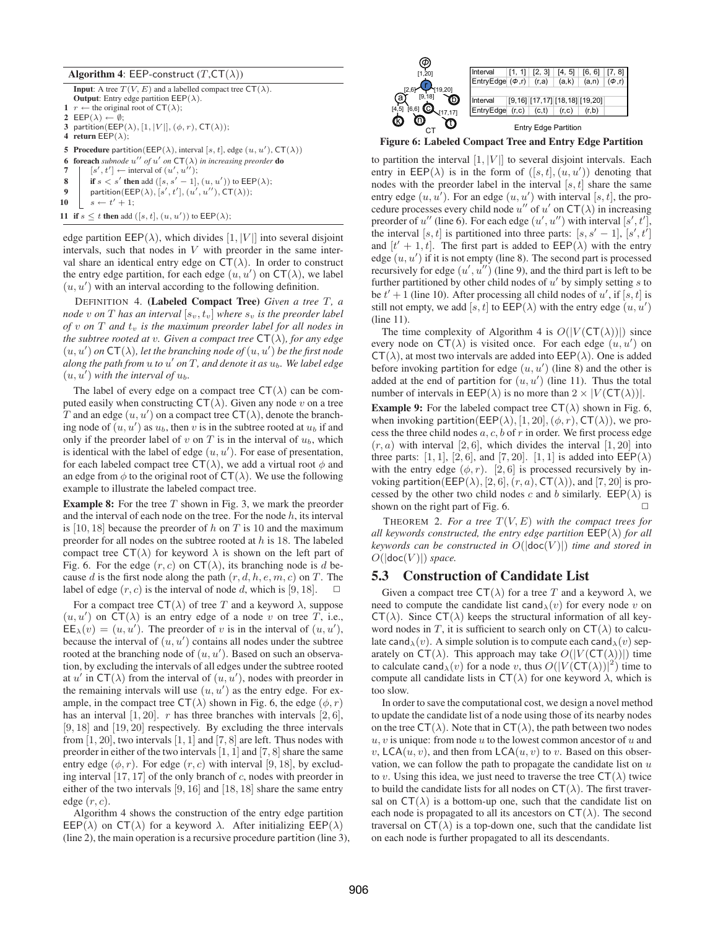#### **Algorithm 4: EEP-construct**  $(T, \mathsf{CT}(\lambda))$

```
Input: A tree T(V, E) and a labelled compact tree CT(\lambda).
     Output: Entry edge partition \mathsf{EEP}(\lambda).
 1 r \leftarrow the original root of CT(\lambda);<br>2 EEP(\lambda) \leftarrow \emptyset;
2 EEP(\lambda) ←
3 partition(EEP(\lambda), [1, |V||, (\phi, r), CT(\lambda));
4 return EEP(\lambda);5 Procedure partition(\mathsf{EEP}(\lambda), interval [s, t], edge (u, u'), \mathsf{CT}(\lambda))
 6 foreach subnode u'' of u' on CT(\lambda) in increasing preorder do
 7 | [s', t'] \leftarrow interval of (u', u'');
 8 if s < s' then add ([s, s' - 1], (u, u')) to \textsf{EEP}(\lambda);9 \qquad partition(EEP(\lambda), [s', t'], (u', u''), CT(\lambda));
10 s \leftarrow t' + 1;if s \leq t then add ([s, t], (u, u')) to \text{EEP}(\lambda);
```
edge partition  $\mathsf{EEP}(\lambda)$ , which divides  $[1, |V|]$  into several disjoint intervals, such that nodes in  $V$  with preorder in the same interval share an identical entry edge on  $CT(\lambda)$ . In order to construct the entry edge partition, for each edge  $(u, u')$  on  $CT(\lambda)$ , we label  $(u, u')$  with an interval according to the following definition.

DEFINITION 4. **(Labeled Compact Tree)** *Given a tree* T*, a node* v on T has an interval  $[s_v, t_v]$  where  $s_v$  is the preorder label *of*  $v$  *on*  $T$  *and*  $t_v$  *is the maximum preorder label for all nodes in the subtree rooted at v. Given a compact tree*  $CT(\lambda)$ *, for any edge*  $(u, u')$  on  $\mathsf{CT}(\lambda)$ , let the branching node of  $(u, u')$  be the first node *along the path from* u *to* u ′ *on* T*, and denote it as* ub*. We label edge*  $(u, u')$  with the interval of  $u<sub>b</sub>$ .

The label of every edge on a compact tree  $CT(\lambda)$  can be computed easily when constructing  $CT(\lambda)$ . Given any node v on a tree T and an edge  $(u, u')$  on a compact tree  $CT(\lambda)$ , denote the branching node of  $(u, u')$  as  $u<sub>b</sub>$ , then v is in the subtree rooted at  $u<sub>b</sub>$  if and only if the preorder label of v on T is in the interval of  $u<sub>b</sub>$ , which is identical with the label of edge  $(u, u')$ . For ease of presentation, for each labeled compact tree  $CT(\lambda)$ , we add a virtual root  $\phi$  and an edge from  $\phi$  to the original root of  $CT(\lambda)$ . We use the following example to illustrate the labeled compact tree.

**Example 8:** For the tree T shown in Fig. 3, we mark the preorder and the interval of each node on the tree. For the node  $h$ , its interval is [10, 18] because the preorder of h on T is 10 and the maximum preorder for all nodes on the subtree rooted at h is 18. The labeled compact tree  $CT(\lambda)$  for keyword  $\lambda$  is shown on the left part of Fig. 6. For the edge  $(r, c)$  on  $CT(\lambda)$ , its branching node is d because d is the first node along the path  $(r, d, h, e, m, c)$  on T. The label of edge  $(r, c)$  is the interval of node d, which is [9, 18].  $\Box$ 

For a compact tree  $CT(\lambda)$  of tree T and a keyword  $\lambda$ , suppose  $(u, u')$  on  $CT(\lambda)$  is an entry edge of a node v on tree T, i.e.,  $EE_{\lambda}(v) = (u, u')$ . The preorder of v is in the interval of  $(u, u')$ , because the interval of  $(u, u')$  contains all nodes under the subtree rooted at the branching node of  $(u, u')$ . Based on such an observation, by excluding the intervals of all edges under the subtree rooted at u' in  $CT(\lambda)$  from the interval of  $(u, u')$ , nodes with preorder in the remaining intervals will use  $(u, u')$  as the entry edge. For example, in the compact tree  $CT(\lambda)$  shown in Fig. 6, the edge  $(\phi, r)$ has an interval  $[1, 20]$ . r has three branches with intervals  $[2, 6]$ , [9, 18] and [19, 20] respectively. By excluding the three intervals from  $[1, 20]$ , two intervals  $[1, 1]$  and  $[7, 8]$  are left. Thus nodes with preorder in either of the two intervals  $[1, 1]$  and  $[7, 8]$  share the same entry edge  $(\phi, r)$ . For edge  $(r, c)$  with interval [9, 18], by excluding interval  $[17, 17]$  of the only branch of c, nodes with preorder in either of the two intervals [9, 16] and [18, 18] share the same entry edge  $(r, c)$ .

Algorithm 4 shows the construction of the entry edge partition EEP( $\lambda$ ) on CT( $\lambda$ ) for a keyword  $\lambda$ . After initializing EEP( $\lambda$ ) (line 2), the main operation is a recursive procedure partition (line 3),



**Figure 6: Labeled Compact Tree and Entry Edge Partition**

to partition the interval  $[1, |V|]$  to several disjoint intervals. Each entry in  $\text{EEP}(\lambda)$  is in the form of  $([s, t], (u, u'))$  denoting that nodes with the preorder label in the interval  $[s, t]$  share the same entry edge  $(u, u')$ . For an edge  $(u, u')$  with interval [s, t], the procedure processes every child node  $u''$  of  $u'$  on  $CT(\lambda)$  in increasing preorder of  $u''$  (line 6). For each edge  $(u', u'')$  with interval  $[s', t']$ , the interval [s, t] is partitioned into three parts:  $[s, s' - 1]$ ,  $[s', t']$ and  $[t' + 1, t]$ . The first part is added to  $\text{EEP}(\lambda)$  with the entry edge  $(u, u')$  if it is not empty (line 8). The second part is processed recursively for edge  $(u', u'')$  (line 9), and the third part is left to be further partitioned by other child nodes of  $u'$  by simply setting  $s$  to be  $t' + 1$  (line 10). After processing all child nodes of u', if [s, t] is still not empty, we add [ $s, t$ ] to  $\text{EEP}(\lambda)$  with the entry edge  $(u, u')$ (line 11).

The time complexity of Algorithm 4 is  $O(|V(CT(\lambda))|)$  since every node on  $CT(\lambda)$  is visited once. For each edge  $(u, u')$  on  $CT(\lambda)$ , at most two intervals are added into  $EEP(\lambda)$ . One is added before invoking partition for edge  $(u, u')$  (line 8) and the other is added at the end of partition for  $(u, u')$  (line 11). Thus the total number of intervals in  $\mathsf{EEP}(\lambda)$  is no more than  $2 \times |V(\mathsf{CT}(\lambda))|$ .

**Example 9:** For the labeled compact tree  $CT(\lambda)$  shown in Fig. 6, when invoking partition(EEP( $\lambda$ ), [1, 20], ( $\phi$ , r), CT( $\lambda$ )), we process the three child nodes  $a, c, b$  of  $r$  in order. We first process edge  $(r, a)$  with interval  $[2, 6]$ , which divides the interval  $[1, 20]$  into three parts: [1, 1], [2, 6], and [7, 20]. [1, 1] is added into  $\mathsf{EEP}(\lambda)$ with the entry edge  $(\phi, r)$ . [2, 6] is processed recursively by invoking partition(EEP( $\lambda$ ), [2, 6], (r, a), CT( $\lambda$ )), and [7, 20] is processed by the other two child nodes c and b similarly.  $\mathsf{EEP}(\lambda)$  is shown on the right part of Fig. 6.  $\Box$ 

THEOREM 2. For a tree  $T(V, E)$  with the compact trees for *all keywords constructed, the entry edge partition*  $\mathsf{EEP}(\lambda)$  *for all keywords can be constructed in* O(|doc(V )|) *time and stored in*  $O(|\textsf{doc}(V)|)$  *space.* 

#### **5.3 Construction of Candidate List**

Given a compact tree  $CT(\lambda)$  for a tree T and a keyword  $\lambda$ , we need to compute the candidate list cand $\lambda(v)$  for every node v on  $CT(\lambda)$ . Since  $CT(\lambda)$  keeps the structural information of all keyword nodes in T, it is sufficient to search only on  $CT(\lambda)$  to calculate cand<sub>λ</sub>(v). A simple solution is to compute each cand<sub>λ</sub>(v) separately on  $CT(\lambda)$ . This approach may take  $O(|V(CT(\lambda))|)$  time to calculate cand $\lambda(v)$  for a node v, thus  $O(|V(CT(\lambda))|^2)$  time to compute all candidate lists in  $CT(\lambda)$  for one keyword  $\lambda$ , which is too slow.

In order to save the computational cost, we design a novel method to update the candidate list of a node using those of its nearby nodes on the tree  $CT(\lambda)$ . Note that in  $CT(\lambda)$ , the path between two nodes  $u, v$  is unique: from node  $u$  to the lowest common ancestor of  $u$  and v,  $\mathsf{LCA}(u, v)$ , and then from  $\mathsf{LCA}(u, v)$  to v. Based on this observation, we can follow the path to propagate the candidate list on  $u$ to v. Using this idea, we just need to traverse the tree  $CT(\lambda)$  twice to build the candidate lists for all nodes on  $CT(\lambda)$ . The first traversal on  $CT(\lambda)$  is a bottom-up one, such that the candidate list on each node is propagated to all its ancestors on  $CT(\lambda)$ . The second traversal on  $CT(\lambda)$  is a top-down one, such that the candidate list on each node is further propagated to all its descendants.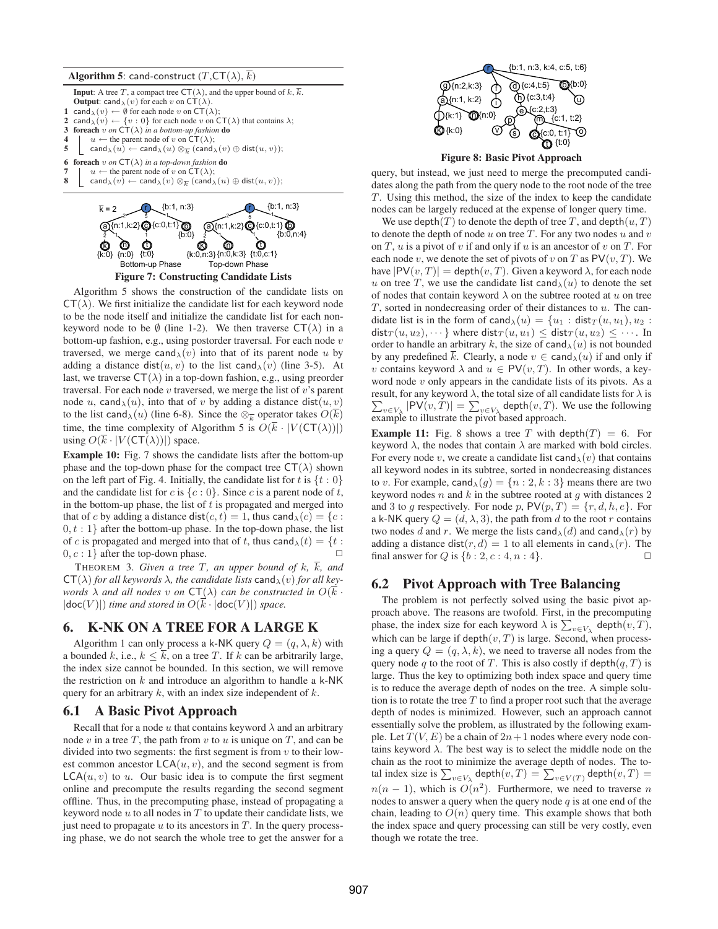



Algorithm 5 shows the construction of the candidate lists on  $CT(\lambda)$ . We first initialize the candidate list for each keyword node to be the node itself and initialize the candidate list for each nonkeyword node to be  $\emptyset$  (line 1-2). We then traverse  $CT(\lambda)$  in a bottom-up fashion, e.g., using postorder traversal. For each node  $v$ traversed, we merge cand<sub>λ</sub>(v) into that of its parent node u by adding a distance dist(u, v) to the list cand<sub> $\lambda$ </sub>(v) (line 3-5). At last, we traverse  $CT(\lambda)$  in a top-down fashion, e.g., using preorder traversal. For each node  $v$  traversed, we merge the list of  $v$ 's parent node u, cand $\lambda(u)$ , into that of v by adding a distance dist $(u, v)$ to the list cand $_{\lambda}(u)$  (line 6-8). Since the  $\otimes_{\overline{k}}$  operator takes  $O(k)$ time, the time complexity of Algorithm 5 is  $O(\overline{k} \cdot |V(CT(\lambda))|)$ using  $O(\overline{k} \cdot |V(CT(\lambda))|)$  space.

**Example 10:** Fig. 7 shows the candidate lists after the bottom-up phase and the top-down phase for the compact tree  $CT(\lambda)$  shown on the left part of Fig. 4. Initially, the candidate list for t is  $\{t: 0\}$ and the candidate list for c is  $\{c: 0\}$ . Since c is a parent node of t, in the bottom-up phase, the list of  $t$  is propagated and merged into that of c by adding a distance dist(c, t) = 1, thus cand $\lambda(c) = \{c :$  $0, t : 1$  after the bottom-up phase. In the top-down phase, the list of c is propagated and merged into that of t, thus  $\text{cand}_{\lambda}(t) = \{t :$  $0, c : 1$  after the top-down phase.

THEOREM 3. *Given a tree*  $T$ *, an upper bound of*  $k$ *,*  $\overline{k}$ *, and* CT( $\lambda$ ) *for all keywords*  $\lambda$ *, the candidate lists* cand $\lambda$ (*v*) *for all keywords*  $\lambda$  *and all nodes*  $v$  *on*  $CT(\lambda)$  *can be constructed in*  $O(\overline{k} \cdot \overline{k})$  $|doc(V)|$ *) time and stored in*  $O(k \cdot |doc(V)|)$  *space.* 

## **6. K-NK ON A TREE FOR A LARGE K**

Algorithm 1 can only process a k-NK query  $Q = (q, \lambda, k)$  with a bounded k, i.e.,  $k \leq \overline{k}$ , on a tree T. If k can be arbitrarily large, the index size cannot be bounded. In this section, we will remove the restriction on  $k$  and introduce an algorithm to handle a k-NK query for an arbitrary  $k$ , with an index size independent of  $k$ .

## **6.1 A Basic Pivot Approach**

Recall that for a node u that contains keyword  $\lambda$  and an arbitrary node v in a tree T, the path from v to u is unique on T, and can be divided into two segments: the first segment is from  $v$  to their lowest common ancestor  $\mathsf{LCA}(u, v)$ , and the second segment is from  $LCA(u, v)$  to u. Our basic idea is to compute the first segment online and precompute the results regarding the second segment offline. Thus, in the precomputing phase, instead of propagating a keyword node  $u$  to all nodes in  $T$  to update their candidate lists, we just need to propagate  $u$  to its ancestors in  $T$ . In the query processing phase, we do not search the whole tree to get the answer for a



**Figure 8: Basic Pivot Approach**

query, but instead, we just need to merge the precomputed candidates along the path from the query node to the root node of the tree T. Using this method, the size of the index to keep the candidate nodes can be largely reduced at the expense of longer query time.

We use depth(T) to denote the depth of tree T, and depth(u, T) to denote the depth of node u on tree T. For any two nodes u and v on  $T$ ,  $u$  is a pivot of  $v$  if and only if  $u$  is an ancestor of  $v$  on  $T$ . For each node v, we denote the set of pivots of v on T as  $PV(v, T)$ . We have  $|PV(v, T)| =$  depth $(v, T)$ . Given a keyword  $\lambda$ , for each node u on tree T, we use the candidate list cand $\lambda(u)$  to denote the set of nodes that contain keyword  $\lambda$  on the subtree rooted at u on tree  $T$ , sorted in nondecreasing order of their distances to  $u$ . The candidate list is in the form of cand $\lambda(u) = \{u_1 : \text{dist}_T(u, u_1), u_2 :$  $dist_T(u, u_2), \dots$ } where  $dist_T(u, u_1) \leq dist_T(u, u_2) \leq \dots$ . In order to handle an arbitrary k, the size of cand $\lambda(u)$  is not bounded by any predefined k. Clearly, a node  $v \in \text{cand}_{\lambda}(u)$  if and only if v contains keyword  $\lambda$  and  $u \in PV(v, T)$ . In other words, a keyword node  $v$  only appears in the candidate lists of its pivots. As a  $\sum_{v \in V_{\lambda}} |PV(v, T)| = \sum_{v \in V_{\lambda}}$  depth $(v, T)$ . We use the following result, for any keyword  $\lambda$ , the total size of all candidate lists for  $\lambda$  is example to illustrate the pivot based approach.

**Example 11:** Fig. 8 shows a tree T with depth $(T) = 6$ . For keyword  $\lambda$ , the nodes that contain  $\lambda$  are marked with bold circles. For every node v, we create a candidate list cand $\lambda(v)$  that contains all keyword nodes in its subtree, sorted in nondecreasing distances to v. For example, cand $\chi(g) = \{n : 2, k : 3\}$  means there are two keyword nodes  $n$  and  $k$  in the subtree rooted at  $q$  with distances 2 and 3 to g respectively. For node p,  $PV(p,T) = \{r, d, h, e\}$ . For a k-NK query  $Q = (d, \lambda, 3)$ , the path from d to the root r contains two nodes d and r. We merge the lists cand<sub> $\lambda$ </sub>(d) and cand<sub> $\lambda$ </sub>(r) by adding a distance dist $(r, d) = 1$  to all elements in cand<sub> $\lambda$ </sub> $(r)$ . The final answer for Q is  $\{b: 2, c: 4, n: 4\}.$ 

## **6.2 Pivot Approach with Tree Balancing**

The problem is not perfectly solved using the basic pivot approach above. The reasons are twofold. First, in the precomputing phase, the index size for each keyword  $\lambda$  is  $\sum_{v \in V_{\lambda}}$  depth $(v, T)$ , which can be large if  $depth(v, T)$  is large. Second, when processing a query  $Q = (q, \lambda, k)$ , we need to traverse all nodes from the query node q to the root of T. This is also costly if depth $(q, T)$  is large. Thus the key to optimizing both index space and query time is to reduce the average depth of nodes on the tree. A simple solution is to rotate the tree  $T$  to find a proper root such that the average depth of nodes is minimized. However, such an approach cannot essentially solve the problem, as illustrated by the following example. Let  $T(V, E)$  be a chain of  $2n+1$  nodes where every node contains keyword  $\lambda$ . The best way is to select the middle node on the chain as the root to minimize the average depth of nodes. The total index size is  $\sum_{v\in V_\lambda} \mathsf{depth}(v,T) = \sum_{v\in V(T)} \mathsf{depth}(v,T) =$  $n(n-1)$ , which is  $O(n^2)$ . Furthermore, we need to traverse n nodes to answer a query when the query node  $q$  is at one end of the chain, leading to  $O(n)$  query time. This example shows that both the index space and query processing can still be very costly, even though we rotate the tree.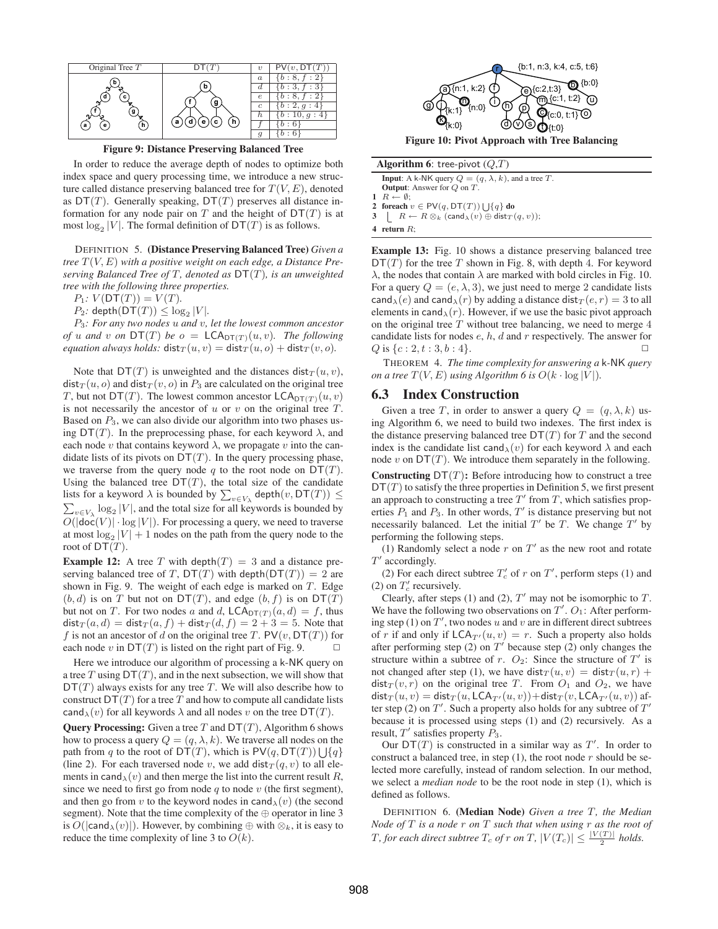

**Figure 9: Distance Preserving Balanced Tree**

In order to reduce the average depth of nodes to optimize both index space and query processing time, we introduce a new structure called distance preserving balanced tree for  $T(V, E)$ , denoted as  $DT(T)$ . Generally speaking,  $DT(T)$  preserves all distance information for any node pair on T and the height of  $DT(T)$  is at most  $\log_2|V|$ . The formal definition of  $DT(T)$  is as follows.

DEFINITION 5. **(Distance Preserving Balanced Tree)** *Given a tree* T(V, E) *with a positive weight on each edge, a Distance Preserving Balanced Tree of* T*, denoted as* DT(T)*, is an unweighted tree with the following three properties.*

 $P_1$ :  $V(DT(T)) = V(T)$ .

 $P_2$ *:* depth $(DT(T)) \leq \log_2 |V|$ *.* 

P3*: For any two nodes* u *and* v*, let the lowest common ancestor of* u and v on  $DT(T)$  *be*  $o = LCA_{DT(T)}(u, v)$ *. The following equation always holds:*  $\text{dist}_T(u, v) = \text{dist}_T(u, o) + \text{dist}_T(v, o)$ .

Note that  $DT(T)$  is unweighted and the distances dist $T(u, v)$ ,  $dist_T(u, o)$  and  $dist_T(v, o)$  in  $P_3$  are calculated on the original tree T, but not  $DT(T)$ . The lowest common ancestor  $LCA_{DT(T)}(u, v)$ is not necessarily the ancestor of  $u$  or  $v$  on the original tree  $T$ . Based on  $P_3$ , we can also divide our algorithm into two phases using  $DT(T)$ . In the preprocessing phase, for each keyword  $\lambda$ , and each node v that contains keyword  $\lambda$ , we propagate v into the candidate lists of its pivots on  $DT(T)$ . In the query processing phase, we traverse from the query node q to the root node on  $DT(T)$ . Using the balanced tree  $DT(T)$ , the total size of the candidate lists for a keyword  $\lambda$  is bounded by  $\sum_{v\in V_\lambda}$  depth $(v, \mathsf{DT}(T))\leq$  $\sum_{v \in V_{\lambda}} \log_2 |V|$ , and the total size for all keywords is bounded by  $O(|\text{doc}(V)| \cdot \log |V|)$ . For processing a query, we need to traverse at most  $\log_2|V| + 1$  nodes on the path from the query node to the root of  $DT(T)$ .

**Example 12:** A tree T with depth $(T) = 3$  and a distance preserving balanced tree of T,  $DT(T)$  with depth $(DT(T)) = 2$  are shown in Fig. 9. The weight of each edge is marked on  $T$ . Edge  $(b, d)$  is on T but not on DT(T), and edge  $(b, f)$  is on DT(T) but not on T. For two nodes a and d,  $\mathsf{LCA}_{\mathsf{DT}(T)}(a, d) = f$ , thus  $dist_T(a, d) = dist_T(a, f) + dist_T(d, f) = 2 + 3 = 5$ . Note that f is not an ancestor of d on the original tree T.  $PV(v, DT(T))$  for each node v in  $DT(T)$  is listed on the right part of Fig. 9.  $\Box$ 

Here we introduce our algorithm of processing a k-NK query on a tree T using  $DT(T)$ , and in the next subsection, we will show that  $DT(T)$  always exists for any tree T. We will also describe how to construct  $DT(T)$  for a tree T and how to compute all candidate lists cand<sub>λ</sub>(*v*) for all keywords  $\lambda$  and all nodes *v* on the tree DT(*T*).

**Query Processing:** Given a tree  $T$  and  $DT(T)$ , Algorithm 6 shows how to process a query  $Q = (q, \lambda, k)$ . We traverse all nodes on the path from q to the root of  $DT(T)$ , which is  $PV(q, DT(T)) \bigcup \{q\}$ (line 2). For each traversed node v, we add  $dist_T(q, v)$  to all elements in cand<sub> $\lambda$ </sub>(*v*) and then merge the list into the current result R, since we need to first go from node  $q$  to node  $v$  (the first segment), and then go from v to the keyword nodes in cand $\lambda(v)$  (the second segment). Note that the time complexity of the ⊕ operator in line 3 is  $O(|\text{cand}_{\lambda}(v)|)$ . However, by combining  $\oplus$  with  $\otimes_k$ , it is easy to reduce the time complexity of line 3 to  $O(k)$ .



**Figure 10: Pivot Approach with Tree Balancing**

| <b>Algorithm 6:</b> tree-pivot $(Q,T)$                                                                     |
|------------------------------------------------------------------------------------------------------------|
| <b>Input:</b> A k-NK query $Q = (q, \lambda, k)$ , and a tree T.<br><b>Output:</b> Answer for $Q$ on $T$ . |

 $R \leftarrow \emptyset$ ;

**2** foreach  $v \in \text{PV}(q, \text{DT}(T)) \bigcup \{q\}$  do **3**  $R \leftarrow R \otimes_k (\text{cand}_{\lambda}(v) \oplus \text{dist}_T(q, v));$ 

**4 return** R;

**Example 13:** Fig. 10 shows a distance preserving balanced tree  $DT(T)$  for the tree T shown in Fig. 8, with depth 4. For keyword  $\lambda$ , the nodes that contain  $\lambda$  are marked with bold circles in Fig. 10. For a query  $Q = (e, \lambda, 3)$ , we just need to merge 2 candidate lists  $\text{cand}_{\lambda}(e)$  and  $\text{cand}_{\lambda}(r)$  by adding a distance  $\text{dist}_{T}(e, r) = 3$  to all elements in cand $\lambda(r)$ . However, if we use the basic pivot approach on the original tree  $T$  without tree balancing, we need to merge  $4$ candidate lists for nodes  $e$ ,  $h$ ,  $d$  and  $r$  respectively. The answer for  $Q$  is  $\{c: 2, t: 3, b: 4\}.$ 

THEOREM 4. *The time complexity for answering a* k*-*NK *query on a tree*  $T(V, E)$  *using Algorithm 6 is*  $O(k \cdot \log |V|)$ *.* 

## **6.3 Index Construction**

Given a tree T, in order to answer a query  $Q = (q, \lambda, k)$  using Algorithm 6, we need to build two indexes. The first index is the distance preserving balanced tree  $DT(T)$  for T and the second index is the candidate list cand<sub> $\lambda$ </sub> (v) for each keyword  $\lambda$  and each node v on  $DT(T)$ . We introduce them separately in the following.

**Constructing**  $DT(T)$ : Before introducing how to construct a tree  $DT(T)$  to satisfy the three properties in Definition 5, we first present an approach to constructing a tree  $T'$  from T, which satisfies properties  $P_1$  and  $P_3$ . In other words,  $T'$  is distance preserving but not necessarily balanced. Let the initial  $T'$  be  $T$ . We change  $T'$  by performing the following steps.

(1) Randomly select a node  $r$  on  $T'$  as the new root and rotate  $T'$  accordingly.

(2) For each direct subtree  $T_c'$  of r on  $T'$ , perform steps (1) and (2) on  $T_c'$  recursively.

Clearly, after steps (1) and (2),  $T'$  may not be isomorphic to  $T$ . We have the following two observations on  $T'$ .  $O_1$ : After performing step (1) on  $T'$ , two nodes u and v are in different direct subtrees of r if and only if  $LCA_{T'}(u, v) = r$ . Such a property also holds after performing step (2) on  $T'$  because step (2) only changes the structure within a subtree of r.  $O_2$ : Since the structure of  $T'$  is not changed after step (1), we have  $dist_T(u, v) = dist_T(u, r) +$  $dist_T(v, r)$  on the original tree T. From  $O_1$  and  $O_2$ , we have  $dist_T(u, v) = dist_T(u, LCA_{T'}(u, v)) + dist_T(v, LCA_{T'}(u, v))$  after step (2) on  $T'$ . Such a property also holds for any subtree of  $T'$ because it is processed using steps (1) and (2) recursively. As a result,  $T'$  satisfies property  $P_3$ .

Our  $DT(T)$  is constructed in a similar way as  $T'$ . In order to construct a balanced tree, in step  $(1)$ , the root node r should be selected more carefully, instead of random selection. In our method, we select a *median node* to be the root node in step (1), which is defined as follows.

DEFINITION 6. **(Median Node)** *Given a tree* T*, the Median Node of* T *is a node* r *on* T *such that when using* r *as the root of* T, for each direct subtree  $T_c$  of  $r$  on  $T$ ,  $|V(T_c)| \leq \frac{|V(T)|}{2}$  holds.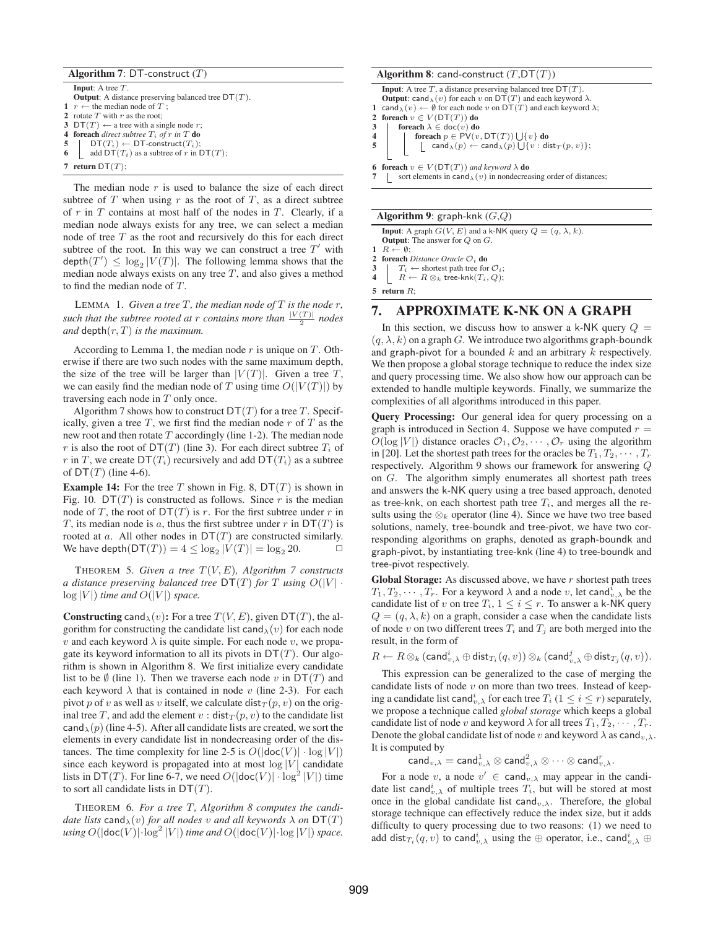| Algorithm 7: $DT$ -construct $(T)$ |                                                                                                 |  |  |  |
|------------------------------------|-------------------------------------------------------------------------------------------------|--|--|--|
|                                    | <b>Input</b> : A tree $T$ .                                                                     |  |  |  |
|                                    | <b>Output:</b> A distance preserving balanced tree $DT(T)$ .                                    |  |  |  |
|                                    | 1 $r \leftarrow$ the median node of T;                                                          |  |  |  |
|                                    | 2 rotate $T$ with $r$ as the root:                                                              |  |  |  |
|                                    | 3 DT(T) $\leftarrow$ a tree with a single node r;                                               |  |  |  |
|                                    | 4 foreach direct subtree $T_i$ of r in T do                                                     |  |  |  |
|                                    |                                                                                                 |  |  |  |
|                                    | 5 $DT(T_i) \leftarrow DT\text{-construct}(T_i);$<br>6 add $DT(T_i)$ as a subtree of r in DT(T); |  |  |  |
| 7                                  | return $DT(T)$ ;                                                                                |  |  |  |

The median node  $r$  is used to balance the size of each direct subtree of  $T$  when using  $r$  as the root of  $T$ , as a direct subtree of  $r$  in  $T$  contains at most half of the nodes in  $T$ . Clearly, if a median node always exists for any tree, we can select a median node of tree  $T$  as the root and recursively do this for each direct subtree of the root. In this way we can construct a tree  $T'$  with depth $(T') \leq \log_2 |V(T)|$ . The following lemma shows that the median node always exists on any tree  $T$ , and also gives a method to find the median node of T.

LEMMA 1. *Given a tree* T*, the median node of* T *is the node* r*,* such that the subtree rooted at r contains more than  $\frac{|V(T)|}{2}$  nodes *and*  $depth(r, T)$  *is the maximum.* 

According to Lemma 1, the median node  $r$  is unique on  $T$ . Otherwise if there are two such nodes with the same maximum depth, the size of the tree will be larger than  $|V(T)|$ . Given a tree T, we can easily find the median node of T using time  $O(|V(T)|)$  by traversing each node in T only once.

Algorithm 7 shows how to construct  $DT(T)$  for a tree T. Specifically, given a tree  $T$ , we first find the median node  $r$  of  $T$  as the new root and then rotate  $T$  accordingly (line 1-2). The median node r is also the root of  $DT(T)$  (line 3). For each direct subtree  $T_i$  of r in T, we create  $DT(T_i)$  recursively and add  $DT(T_i)$  as a subtree of  $DT(T)$  (line 4-6).

**Example 14:** For the tree T shown in Fig. 8,  $DT(T)$  is shown in Fig. 10.  $DT(T)$  is constructed as follows. Since r is the median node of T, the root of  $DT(T)$  is r. For the first subtree under r in T, its median node is a, thus the first subtree under r in  $DT(T)$  is rooted at a. All other nodes in  $DT(T)$  are constructed similarly. We have depth $(DT(T)) = 4 \leq \log_2 |V(T)| = \log_2 20.$ 

THEOREM 5. *Given a tree* T(V, E)*, Algorithm 7 constructs a distance preserving balanced tree*  $DT(T)$  *for* T *using*  $O(|V| \cdot )$  $log |V|$ *) time and*  $O(|V|)$  *space.* 

**Constructing** cand<sub> $\lambda$ </sub>(v): For a tree  $T(V, E)$ , given  $DT(T)$ , the algorithm for constructing the candidate list cand $\lambda(v)$  for each node v and each keyword  $\lambda$  is quite simple. For each node v, we propagate its keyword information to all its pivots in  $DT(T)$ . Our algorithm is shown in Algorithm 8. We first initialize every candidate list to be  $\emptyset$  (line 1). Then we traverse each node v in  $DT(T)$  and each keyword  $\lambda$  that is contained in node v (line 2-3). For each pivot p of v as well as v itself, we calculate  $dist_T(p, v)$  on the original tree T, and add the element  $v : dist_T(p, v)$  to the candidate list  $\text{cand}_{\lambda}(p)$  (line 4-5). After all candidate lists are created, we sort the elements in every candidate list in nondecreasing order of the distances. The time complexity for line 2-5 is  $O(|\text{doc}(V)| \cdot \log |V|)$ since each keyword is propagated into at most  $log|V|$  candidate lists in DT(T). For line 6-7, we need  $O(|\text{doc}(V)| \cdot \log^2 |V|)$  time to sort all candidate lists in  $DT(T)$ .

THEOREM 6. *For a tree* T*, Algorithm 8 computes the candidate lists* cand<sub> $\lambda$ </sub>(*v*) *for all nodes v and all keywords*  $\lambda$  *on*  $DT(T)$  $using\ O(|\textsf{doc}(V)|\cdot \log^2 |V|)$  *time and*  $O(|\textsf{doc}(V)|\cdot \log |V|)$  *space.* 

#### **Algorithm 8**: cand-construct  $(T,DT(T))$

**Input**: A tree  $T$ , a distance preserving balanced tree  $DT(T)$ .

**Output**: cand  $\chi(v)$  for each v on  $DT(T)$  and each keyword  $\lambda$ .

**1** cand  $\lambda(v) \leftarrow \emptyset$  for each node v on  $DT(T)$  and each keyword  $\lambda$ ;<br>**2** for each  $v \in V(DT(T))$  do

**2 foreach**  $v \in V(DT(T))$  **do**<br>**3 foreach**  $\lambda \in \text{doc}(v)$  **do** 

**3 foreach**  $\lambda \in \text{doc}(v)$  **do**<br>**4 foreach**  $p \in \text{PV}(v)$ 

**4**  $\qquad$  **foreach**  $p \in \text{PV}(v, \text{DT}(T)) \bigcup \{v\}$  do

 $\begin{array}{ccc} \textsf{5} & | & | & | \textsf{cand}_{\lambda}(p) \leftarrow \textsf{cand}_{\lambda}(p) \bigcup \{v : \textsf{dist}_T(p,v)\}; \end{array}$ 

**6 foreach**  $v \in V(DT(T))$  *and keyword*  $\lambda$  **do**<br>**7 do** sort elements in cand  $\lambda$  (*v*) in nondecrea

**8** sort elements in cand  $\chi(v)$  in nondecreasing order of distances;

#### **Algorithm 9**: graph-knk (G,Q)

**Input**: A graph  $G(V, E)$  and a k-NK query  $Q = (q, \lambda, k)$ . **Output**: The answer for Q on G. 1  $R \leftarrow \emptyset;$ <br>2 foreach **2 foreach** *Distance Oracle*  $O_i$  **do**<br>**3**  $T_i \leftarrow$  shortest path tree for **3**  $T_i \leftarrow$  shortest path tree for  $\mathcal{O}_i$ ;<br>**4**  $R \leftarrow R \otimes_k$  tree-knk $(T_i, Q)$ ;  $\Box$   $R \leftarrow R \otimes_k \text{tree-knk}(T_i, Q);$ **5 return** R;

#### **7. APPROXIMATE K-NK ON A GRAPH**

In this section, we discuss how to answer a k-NK query  $Q =$  $(q, \lambda, k)$  on a graph G. We introduce two algorithms graph-boundk and graph-pivot for a bounded  $k$  and an arbitrary  $k$  respectively. We then propose a global storage technique to reduce the index size and query processing time. We also show how our approach can be extended to handle multiple keywords. Finally, we summarize the complexities of all algorithms introduced in this paper.

**Query Processing:** Our general idea for query processing on a graph is introduced in Section 4. Suppose we have computed  $r =$  $O(\log |V|)$  distance oracles  $\mathcal{O}_1, \mathcal{O}_2, \cdots, \mathcal{O}_r$  using the algorithm in [20]. Let the shortest path trees for the oracles be  $T_1, T_2, \cdots, T_r$ respectively. Algorithm 9 shows our framework for answering Q on G. The algorithm simply enumerates all shortest path trees and answers the k-NK query using a tree based approach, denoted as tree-knk, on each shortest path tree  $T_i$ , and merges all the results using the  $\otimes_k$  operator (line 4). Since we have two tree based solutions, namely, tree-boundk and tree-pivot, we have two corresponding algorithms on graphs, denoted as graph-boundk and graph-pivot, by instantiating tree-knk (line 4) to tree-boundk and tree-pivot respectively.

Global Storage: As discussed above, we have r shortest path trees  $T_1, T_2, \cdots, T_r$ . For a keyword  $\lambda$  and a node v, let cand $_{v,\lambda}^i$  be the candidate list of v on tree  $T_i$ ,  $1 \le i \le r$ . To answer a k-NK query  $Q = (q, \lambda, k)$  on a graph, consider a case when the candidate lists of node v on two different trees  $T_i$  and  $T_j$  are both merged into the result, in the form of

 $R \leftarrow R \otimes_k (\mathsf{cand}^i_{v,\lambda} \oplus \mathsf{dist}_{T_i}(q,v)) \otimes_k (\mathsf{cand}^j_{v,\lambda} \oplus \mathsf{dist}_{T_j}(q,v)).$ 

This expression can be generalized to the case of merging the candidate lists of node  $v$  on more than two trees. Instead of keeping a candidate list cand ${}_{v,\lambda}^i$  for each tree  $T_i$  ( $1 \leq i \leq r$ ) separately, we propose a technique called *global storage* which keeps a global candidate list of node v and keyword  $\lambda$  for all trees  $T_1, T_2, \cdots, T_r$ . Denote the global candidate list of node v and keyword  $\lambda$  as cand<sub>v,λ</sub>. It is computed by

 $\mathsf{cand}_{v,\lambda} = \mathsf{cand}_{v,\lambda}^1 \otimes \mathsf{cand}_{v,\lambda}^2 \otimes \cdots \otimes \mathsf{cand}_{v,\lambda}^r.$ 

For a node v, a node  $v' \in \text{cand}_{v,\lambda}$  may appear in the candidate list cand<sup>i</sup><sub>v</sub>, of multiple trees  $T_i$ , but will be stored at most once in the global candidate list cand<sub>v,λ</sub>. Therefore, the global storage technique can effectively reduce the index size, but it adds difficulty to query processing due to two reasons: (1) we need to add dist $_{T_i}(q, v)$  to cand $_{v,\lambda}^i$  using the  $\oplus$  operator, i.e., cand $_{v,\lambda}^i \oplus$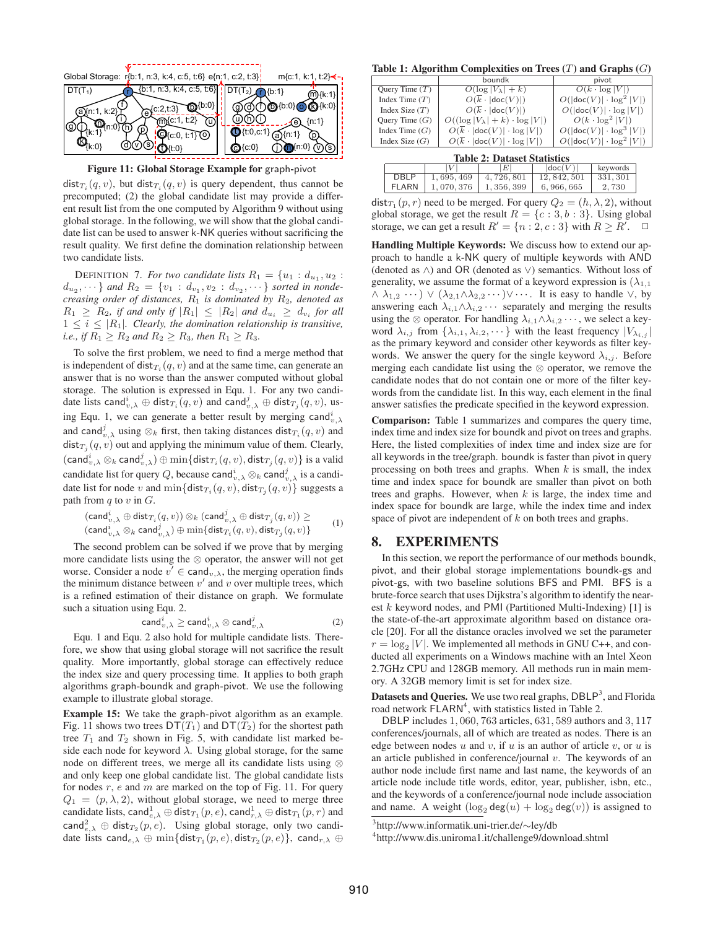

**Figure 11: Global Storage Example for** graph**-**pivot

dist $T_i(q, v)$ , but dist $T_i(q, v)$  is query dependent, thus cannot be precomputed; (2) the global candidate list may provide a different result list from the one computed by Algorithm 9 without using global storage. In the following, we will show that the global candidate list can be used to answer k-NK queries without sacrificing the result quality. We first define the domination relationship between two candidate lists.

DEFINITION 7. For two candidate lists  $R_1 = \{u_1 : d_{u_1}, u_2 :$  $d_{u_2}, \dots$ } and  $R_2 = \{v_1 : d_{v_1}, v_2 : d_{v_2}, \dots\}$  sorted in nonde*creasing order of distances,*  $R_1$  *is dominated by*  $R_2$ *, denoted as*  $R_1 \geq R_2$ , if and only if  $|R_1| \leq |R_2|$  and  $d_{u_i} \geq d_{v_i}$  for all  $1 \leq i \leq |R_1|$ *. Clearly, the domination relationship is transitive, i.e., if*  $R_1 \ge R_2$  *and*  $R_2 \ge R_3$ *, then*  $R_1 \ge R_3$ *.* 

To solve the first problem, we need to find a merge method that is independent of dist $T_i(q, v)$  and at the same time, can generate an answer that is no worse than the answer computed without global storage. The solution is expressed in Equ. 1. For any two candidate lists cand ${}_{v,\lambda}^{i} \oplus \text{dist}_{T_i}(q,v)$  and cand ${}_{v,\lambda}^{j} \oplus \text{dist}_{T_j}(q,v)$ , using Equ. 1, we can generate a better result by merging cand  $v_{v,\lambda}$ and cand $\phi_{v,\lambda}$  using  $\otimes_k$  first, then taking distances dist $_{T_i}(q, v)$  and  $dist_{T_j}(q, v)$  out and applying the minimum value of them. Clearly,  $(\mathsf{cand}^i_{v,\lambda} \otimes_k \mathsf{cand}^j_{v,\lambda}) \oplus \min \{ \mathsf{dist}_{T_i}(q,v), \mathsf{dist}_{T_j}(q,v) \}$  is a valid candidate list for query Q, because cand ${}_{v,\lambda}^i \otimes_k$  cand ${}_{v,\lambda}^j$  is a candidate list for node v and  $\min\{\textsf{dist}_{T_i}(q, v), \textsf{dist}_{T_j}(q, v)\}\)$  suggests a path from  $q$  to  $v$  in  $G$ .

$$
\begin{array}{ll}(\mathsf{cand}^i_{v,\lambda} \oplus \mathsf{dist}_{T_i}(q,v))\otimes_k (\mathsf{cand}^j_{v,\lambda} \oplus \mathsf{dist}_{T_j}(q,v)) \geq\\(\mathsf{cand}^i_{v,\lambda} \otimes_k \mathsf{cand}^j_{v,\lambda}) \oplus \min\{\mathsf{dist}_{T_i}(q,v), \mathsf{dist}_{T_j}(q,v)\}\end{array}\eqno{(1)}
$$

The second problem can be solved if we prove that by merging more candidate lists using the ⊗ operator, the answer will not get worse. Consider a node  $v' \in \text{cand}_{v,\lambda}$ , the merging operation finds the minimum distance between  $v'$  and  $v$  over multiple trees, which is a refined estimation of their distance on graph. We formulate such a situation using Equ. 2.

cand<sup>i</sup>

$$
\mathsf{and}_{v,\lambda}^i \ge \mathsf{cand}_{v,\lambda}^i \otimes \mathsf{cand}_{v,\lambda}^j \tag{2}
$$

Equ. 1 and Equ. 2 also hold for multiple candidate lists. Therefore, we show that using global storage will not sacrifice the result quality. More importantly, global storage can effectively reduce the index size and query processing time. It applies to both graph algorithms graph-boundk and graph-pivot. We use the following example to illustrate global storage.

**Example 15:** We take the graph-pivot algorithm as an example. Fig. 11 shows two trees  $DT(T_1)$  and  $DT(T_2)$  for the shortest path tree  $T_1$  and  $T_2$  shown in Fig. 5, with candidate list marked beside each node for keyword  $\lambda$ . Using global storage, for the same node on different trees, we merge all its candidate lists using ⊗ and only keep one global candidate list. The global candidate lists for nodes  $r$ ,  $e$  and  $m$  are marked on the top of Fig. 11. For query  $Q_1 = (p, \lambda, 2)$ , without global storage, we need to merge three candidate lists,  $\mathsf{cand}_{e,\lambda}^1 \oplus \mathsf{dist}_{T_1}(p,e)$ ,  $\mathsf{cand}_{r,\lambda}^1 \oplus \mathsf{dist}_{T_1}(p,r)$  and cand $e_{e,\lambda}^2 \oplus$  dist $T_2(p,e)$ . Using global storage, only two candidate lists  $\mathsf{cand}_{e,\lambda} \oplus \min\{\mathsf{dist}_{T_1}(p,e),\mathsf{dist}_{T_2}(p,e)\},\ \mathsf{cand}_{r,\lambda} \oplus$ 

**Table 1: Algorithm Complexities on Trees (**T**) and Graphs (**G**)**

|                                    |              |           | boundk                                                   |  |                   | pivot                                   |  |  |
|------------------------------------|--------------|-----------|----------------------------------------------------------|--|-------------------|-----------------------------------------|--|--|
| Query Time $(T)$                   |              |           | $O(\log  V_\lambda  + k)$                                |  |                   | $O(k \cdot \log  V )$                   |  |  |
| Index Time $(T)$                   |              |           | $O(k \cdot   \text{doc}(V)  )$                           |  |                   | $O( \textsf{doc}(V)  \cdot \log^2  V )$ |  |  |
| Index Size $(T)$                   |              |           | $O(k \cdot   \text{doc}(V)  )$                           |  |                   | $O( \textsf{doc}(V)  \cdot \log  V )$   |  |  |
| Ouery Time $(G)$                   |              |           | $O((\log  V_{\lambda}  + k) \cdot \log  V )$             |  |                   | $O(k \cdot \log^2  V )$                 |  |  |
| Index Time $(G)$                   |              |           | $O(\overline{k} \cdot  \text{doc}(V)  \cdot \log  V )$   |  |                   | $O( \textsf{doc}(V)  \cdot \log^3  V )$ |  |  |
| Index Size $(G)$                   |              |           | $O(\overline{k} \cdot  \textsf{doc}(V)  \cdot \log  V )$ |  |                   | $O( \textsf{doc}(V)  \cdot \log^2  V )$ |  |  |
| <b>Table 2: Dataset Statistics</b> |              |           |                                                          |  |                   |                                         |  |  |
|                                    |              |           | ΕI                                                       |  | $\mathsf{doc}(V)$ | keywords                                |  |  |
|                                    | DBLP         | 1,695,469 | 4,726,801                                                |  | 12, 842, 501      | 331, 301                                |  |  |
|                                    | <b>FLARN</b> | 1,070,376 | 1, 356, 399                                              |  | 6.966.665         | 2.730                                   |  |  |

dist $T_1(p, r)$  need to be merged. For query  $Q_2 = (h, \lambda, 2)$ , without global storage, we get the result  $R = \{c : 3, b : 3\}$ . Using global storage, we can get a result  $R' = \{n : 2, c : 3\}$  with  $R \geq R'$ .  $\Box$ 

**Handling Multiple Keywords:** We discuss how to extend our approach to handle a k-NK query of multiple keywords with AND (denoted as ∧) and OR (denoted as ∨) semantics. Without loss of generality, we assume the format of a keyword expression is  $(\lambda_{1,1})$  $\wedge \lambda_{1,2} \cdots$ )  $\vee (\lambda_{2,1} \wedge \lambda_{2,2} \cdots) \vee \cdots$ . It is easy to handle  $\vee$ , by answering each  $\lambda_{i,1} \wedge \lambda_{i,2} \cdots$  separately and merging the results using the ⊗ operator. For handling  $\lambda_{i,1} \wedge \lambda_{i,2} \cdots$ , we select a keyword  $\lambda_{i,j}$  from  $\{\lambda_{i,1}, \lambda_{i,2}, \cdots\}$  with the least frequency  $|V_{\lambda_{i,j}}|$ as the primary keyword and consider other keywords as filter keywords. We answer the query for the single keyword  $\lambda_{i,j}$ . Before merging each candidate list using the ⊗ operator, we remove the candidate nodes that do not contain one or more of the filter keywords from the candidate list. In this way, each element in the final answer satisfies the predicate specified in the keyword expression.

**Comparison:** Table 1 summarizes and compares the query time, index time and index size for boundk and pivot on trees and graphs. Here, the listed complexities of index time and index size are for all keywords in the tree/graph. boundk is faster than pivot in query processing on both trees and graphs. When  $k$  is small, the index time and index space for boundk are smaller than pivot on both trees and graphs. However, when  $k$  is large, the index time and index space for boundk are large, while the index time and index space of pivot are independent of k on both trees and graphs.

# **8. EXPERIMENTS**

In this section, we report the performance of our methods boundk, pivot, and their global storage implementations boundk-gs and pivot-gs, with two baseline solutions BFS and PMI. BFS is a brute-force search that uses Dijkstra's algorithm to identify the nearest  $k$  keyword nodes, and PMI (Partitioned Multi-Indexing) [1] is the state-of-the-art approximate algorithm based on distance oracle [20]. For all the distance oracles involved we set the parameter  $r = \log_2 |V|$ . We implemented all methods in GNU C++, and conducted all experiments on a Windows machine with an Intel Xeon 2.7GHz CPU and 128GB memory. All methods run in main memory. A 32GB memory limit is set for index size.

Datasets and Queries. We use two real graphs, DBLP<sup>3</sup>, and Florida road network FLARN<sup>4</sup>, with statistics listed in Table 2.

DBLP includes 1, 060, 763 articles, 631, 589 authors and 3, 117 conferences/journals, all of which are treated as nodes. There is an edge between nodes u and v, if u is an author of article v, or u is an article published in conference/journal  $v$ . The keywords of an author node include first name and last name, the keywords of an article node include title words, editor, year, publisher, isbn, etc., and the keywords of a conference/journal node include association and name. A weight  $(\log_2 \deg(u) + \log_2 \deg(v))$  is assigned to

<sup>3</sup> http://www.informatik.uni-trier.de/∼ley/db

<sup>4</sup> http://www.dis.uniroma1.it/challenge9/download.shtml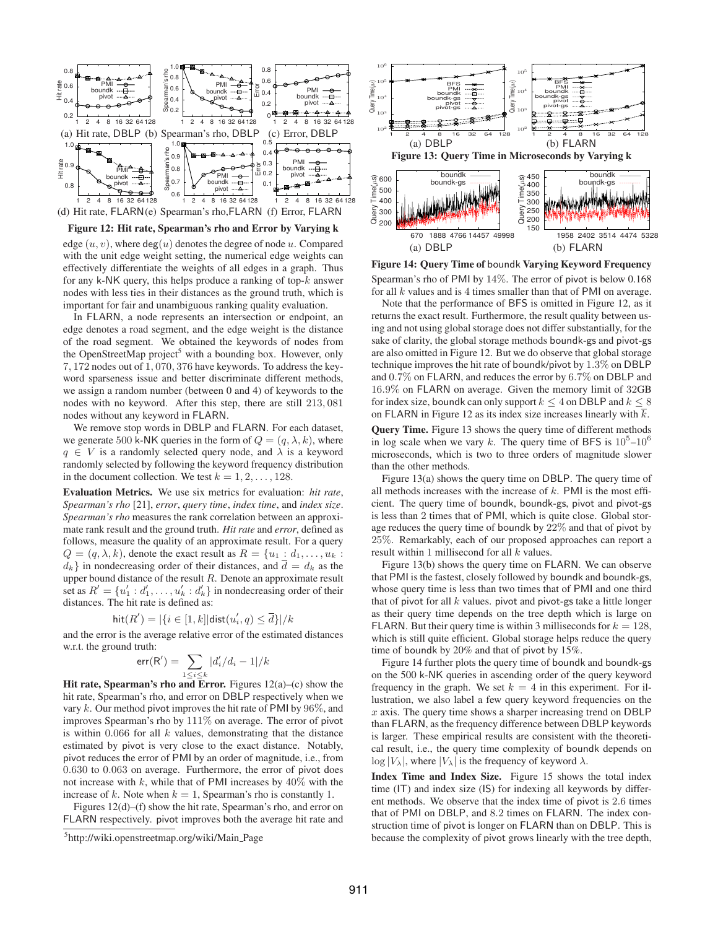

**Figure 12: Hit rate, Spearman's rho and Error by Varying k**

edge  $(u, v)$ , where  $deg(u)$  denotes the degree of node u. Compared with the unit edge weight setting, the numerical edge weights can effectively differentiate the weights of all edges in a graph. Thus for any k-NK query, this helps produce a ranking of top- $k$  answer nodes with less ties in their distances as the ground truth, which is important for fair and unambiguous ranking quality evaluation.

In FLARN, a node represents an intersection or endpoint, an edge denotes a road segment, and the edge weight is the distance of the road segment. We obtained the keywords of nodes from the OpenStreetMap project<sup>5</sup> with a bounding box. However, only 7, 172 nodes out of 1, 070, 376 have keywords. To address the keyword sparseness issue and better discriminate different methods, we assign a random number (between 0 and 4) of keywords to the nodes with no keyword. After this step, there are still 213, 081 nodes without any keyword in FLARN.

We remove stop words in DBLP and FLARN. For each dataset, we generate 500 k-NK queries in the form of  $Q = (q, \lambda, k)$ , where  $q \in V$  is a randomly selected query node, and  $\lambda$  is a keyword randomly selected by following the keyword frequency distribution in the document collection. We test  $k = 1, 2, \ldots, 128$ .

**Evaluation Metrics.** We use six metrics for evaluation: *hit rate*, *Spearman's rho* [21], *error*, *query time*, *index time*, and *index size*. *Spearman's rho* measures the rank correlation between an approximate rank result and the ground truth. *Hit rate* and *error*, defined as follows, measure the quality of an approximate result. For a query  $Q = (q, \lambda, k)$ , denote the exact result as  $R = \{u_1 : d_1, \ldots, u_k :$  $d_k$  in nondecreasing order of their distances, and  $\overline{d} = d_k$  as the upper bound distance of the result  $R$ . Denote an approximate result set as  $R' = \{u'_1 : d'_1, \ldots, u'_k : d'_k\}$  in nondecreasing order of their distances. The hit rate is defined as:

$$
\mathsf{hit}(R') = |\{i \in [1,k]|\mathsf{dist}(u'_i,q) \leq \overline{d}\}|/k
$$

and the error is the average relative error of the estimated distances w.r.t. the ground truth:

$$
\text{err}(\mathsf{R}') = \sum_{1 \le i \le k} |d'_i/d_i - 1|/k
$$

1≤i≤k **Hit rate, Spearman's rho and Error.** Figures 12(a)–(c) show the hit rate, Spearman's rho, and error on DBLP respectively when we vary  $k$ . Our method pivot improves the hit rate of PMI by  $96\%$ , and improves Spearman's rho by 111% on average. The error of pivot is within  $0.066$  for all  $k$  values, demonstrating that the distance estimated by pivot is very close to the exact distance. Notably, pivot reduces the error of PMI by an order of magnitude, i.e., from 0.630 to 0.063 on average. Furthermore, the error of pivot does not increase with k, while that of PMI increases by  $40\%$  with the increase of k. Note when  $k = 1$ , Spearman's rho is constantly 1.

Figures 12(d)–(f) show the hit rate, Spearman's rho, and error on FLARN respectively. pivot improves both the average hit rate and



**Figure 14: Query Time of** boundk **Varying Keyword Frequency** Spearman's rho of PMI by 14%. The error of pivot is below 0.168

for all  $k$  values and is 4 times smaller than that of PMI on average. Note that the performance of BFS is omitted in Figure 12, as it returns the exact result. Furthermore, the result quality between using and not using global storage does not differ substantially, for the sake of clarity, the global storage methods boundk-gs and pivot-gs are also omitted in Figure 12. But we do observe that global storage technique improves the hit rate of boundk/pivot by 1.3% on DBLP and 0.7% on FLARN, and reduces the error by 6.7% on DBLP and 16.9% on FLARN on average. Given the memory limit of 32GB for index size, boundk can only support  $k \leq 4$  on DBLP and  $k \leq 8$ on FLARN in Figure 12 as its index size increases linearly with k.

**Query Time.** Figure 13 shows the query time of different methods in log scale when we vary k. The query time of BFS is  $10^5$ – $10^6$ microseconds, which is two to three orders of magnitude slower than the other methods.

Figure 13(a) shows the query time on DBLP. The query time of all methods increases with the increase of  $k$ . PMI is the most efficient. The query time of boundk, boundk-gs, pivot and pivot-gs is less than 2 times that of PMI, which is quite close. Global storage reduces the query time of boundk by 22% and that of pivot by 25%. Remarkably, each of our proposed approaches can report a result within 1 millisecond for all k values.

Figure 13(b) shows the query time on FLARN. We can observe that PMI is the fastest, closely followed by boundk and boundk-gs, whose query time is less than two times that of PMI and one third that of pivot for all  $k$  values. pivot and pivot-gs take a little longer as their query time depends on the tree depth which is large on FLARN. But their query time is within 3 milliseconds for  $k = 128$ , which is still quite efficient. Global storage helps reduce the query time of boundk by 20% and that of pivot by 15%.

Figure 14 further plots the query time of boundk and boundk-gs on the 500 k-NK queries in ascending order of the query keyword frequency in the graph. We set  $k = 4$  in this experiment. For illustration, we also label a few query keyword frequencies on the  $x$  axis. The query time shows a sharper increasing trend on DBLP than FLARN, as the frequency difference between DBLP keywords is larger. These empirical results are consistent with the theoretical result, i.e., the query time complexity of boundk depends on  $\log |V_{\lambda}|$ , where  $|V_{\lambda}|$  is the frequency of keyword  $\lambda$ .

**Index Time and Index Size.** Figure 15 shows the total index time  $(IT)$  and index size  $(IS)$  for indexing all keywords by different methods. We observe that the index time of pivot is 2.6 times that of PMI on DBLP, and 8.2 times on FLARN. The index construction time of pivot is longer on FLARN than on DBLP. This is because the complexity of pivot grows linearly with the tree depth,

<sup>5</sup> http://wiki.openstreetmap.org/wiki/Main Page